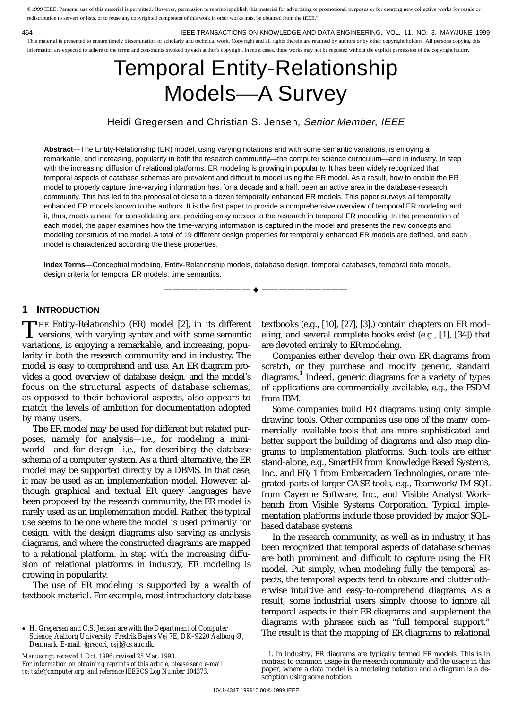©1999 IEEE. Personal use of this material is permitted. However, permission to reprint/republish this material for advertising or promotional purposes or for creating new collective works for resale or redistribution to servers or lists, or to reuse any copyrighted component of this work in other works must be obtained from the IEEE."

464 IEEE TRANSACTIONS ON KNOWLEDGE AND DATA ENGINEERING, VOL. 11, NO. 3, MAY/JUNE 1999 This material is presented to ensure timely dissemination of scholarly and technical work. Copyright and all rights therein are retained by authors or by other copyright holders. All persons copying this information are expected to adhere to the terms and constraints invoked by each author's copyright. In most cases, these works may not be reposted without the explicit permission of the copyright holder.

# Temporal Entity-Relationship Models—A Survey

Heidi Gregersen and Christian S. Jensen, Senior Member, IEEE

**Abstract**—The Entity-Relationship (ER) model, using varying notations and with some semantic variations, is enjoying a remarkable, and increasing, popularity in both the research community—the computer science curriculum—and in industry. In step with the increasing diffusion of relational platforms, ER modeling is growing in popularity. It has been widely recognized that temporal aspects of database schemas are prevalent and difficult to model using the ER model. As a result, how to enable the ER model to properly capture time-varying information has, for a decade and a half, been an active area in the database-research community. This has led to the proposal of close to a dozen temporally enhanced ER models. This paper surveys all temporally enhanced ER models known to the authors. It is the first paper to provide a comprehensive overview of temporal ER modeling and it, thus, meets a need for consolidating and providing easy access to the research in temporal ER modeling. In the presentation of each model, the paper examines how the time-varying information is captured in the model and presents the new concepts and modeling constructs of the model. A total of 19 different design properties for temporally enhanced ER models are defined, and each model is characterized according the these properties.

**Index Terms**—Conceptual modeling, Entity-Relationship models, database design, temporal databases, temporal data models, design criteria for temporal ER models, time semantics.

—————————— F ——————————

# **1 INTRODUCTION**

HE Entity-Relationship (ER) model [2], in its different THE Entity-Relationship (ER) model [2], in its different<br>versions, with varying syntax and with some semantic<br>with some interest in which is with the set of the set of the set of the set of the set of the set of the set variations, is enjoying a remarkable, and increasing, popularity in both the research community and in industry. The model is easy to comprehend and use. An ER diagram provides a good overview of database design, and the model's focus on the structural aspects of database schemas, as opposed to their behavioral aspects, also appears to match the levels of ambition for documentation adopted by many users.

The ER model may be used for different but related purposes, namely for analysis—i.e., for modeling a miniworld—and for design—i.e., for describing the database schema of a computer system. As a third alternative, the ER model may be supported directly by a DBMS. In that case, it may be used as an implementation model. However, although graphical and textual ER query languages have been proposed by the research community, the ER model is rarely used as an implementation model. Rather, the typical use seems to be one where the model is used primarily for design, with the design diagrams also serving as analysis diagrams, and where the constructed diagrams are mapped to a relational platform. In step with the increasing diffusion of relational platforms in industry, ER modeling is growing in popularity.

The use of ER modeling is supported by a wealth of textbook material. For example, most introductory database

²²²²²²²²²²²²²²²²

*Manuscript received 1 Oct. 1996; revised 25 Mar. 1998. For information on obtaining reprints of this article, please send e-mail to: tkde@computer.org, and reference IEEECS Log Number 104373.*

textbooks (e.g., [10], [27], [3],) contain chapters on ER modeling, and several complete books exist (e.g., [1], [34]) that are devoted entirely to ER modeling.

Companies either develop their own ER diagrams from scratch, or they purchase and modify generic, standard diagrams.<sup>1</sup> Indeed, generic diagrams for a variety of types of applications are commercially available, e.g., the FSDM from IBM.

Some companies build ER diagrams using only simple drawing tools. Other companies use one of the many commercially available tools that are more sophisticated and better support the building of diagrams and also map diagrams to implementation platforms. Such tools are either stand-alone, e.g., SmartER from Knowledge Based Systems, Inc., and ER/1 from Embarcadero Technologies, or are integrated parts of larger CASE tools, e.g., Teamwork/IM SQL from Cayenne Software, Inc., and Visible Analyst Workbench from Visible Systems Corporation. Typical implementation platforms include those provided by major SQLbased database systems.

In the research community, as well as in industry, it has been recognized that temporal aspects of database schemas are both prominent and difficult to capture using the ER model. Put simply, when modeling fully the temporal aspects, the temporal aspects tend to obscure and clutter otherwise intuitive and easy-to-comprehend diagrams. As a result, some industrial users simply choose to ignore all temporal aspects in their ER diagrams and supplement the diagrams with phrases such as "full temporal support." The result is that the mapping of ER diagrams to relational

*H. Gregersen and C.S. Jensen are with the Department of Computer Science, Aalborg University, Fredrik Bajers Vej 7E, DK–9220 Aalborg Ø, Denmark. E-mail: {gregori, csj}@cs.auc.dk.*

<sup>1.</sup> In industry, ER diagrams are typically termed ER models. This is in contrast to common usage in the research community and the usage in this paper, where a data model is a modeling notation and a diagram is a description using some notation.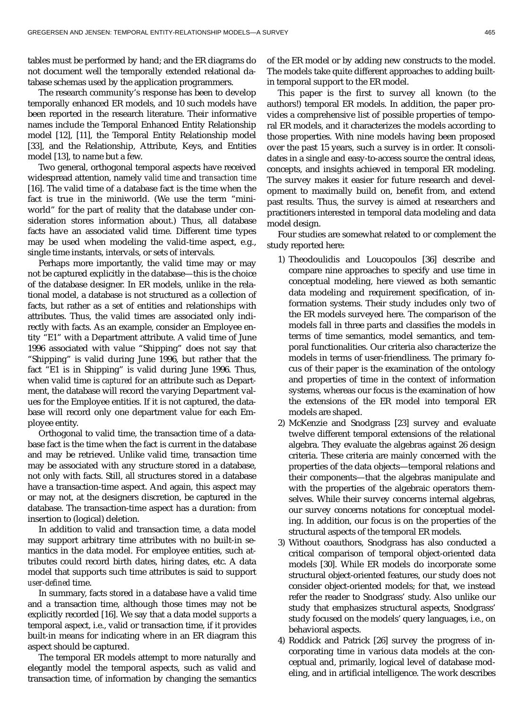tables must be performed by hand; and the ER diagrams do not document well the temporally extended relational database schemas used by the application programmers.

The research community's response has been to develop temporally enhanced ER models, and 10 such models have been reported in the research literature. Their informative names include the Temporal Enhanced Entity Relationship model [12], [11], the Temporal Entity Relationship model [33], and the Relationship, Attribute, Keys, and Entities model [13], to name but a few.

Two general, orthogonal temporal aspects have received widespread attention, namely *valid time* and *transaction time* [16]. The valid time of a database fact is the time when the fact is true in the miniworld. (We use the term "miniworld" for the part of reality that the database under consideration stores information about.) Thus, all database facts have an associated valid time. Different time types may be used when modeling the valid-time aspect, e.g., single time instants, intervals, or sets of intervals.

Perhaps more importantly, the valid time may or may not be captured explicitly in the database—this is the choice of the database designer. In ER models, unlike in the relational model, a database is not structured as a collection of facts, but rather as a set of entities and relationships with attributes. Thus, the valid times are associated only indirectly with facts. As an example, consider an Employee entity "E1" with a Department attribute. A valid time of June 1996 associated with value "Shipping" does not say that "Shipping" is valid during June 1996, but rather that the fact "E1 is in Shipping" is valid during June 1996. Thus, when valid time is *captured* for an attribute such as Department, the database will record the varying Department values for the Employee entities. If it is not captured, the database will record only one department value for each Employee entity.

Orthogonal to valid time, the transaction time of a database fact is the time when the fact is current in the database and may be retrieved. Unlike valid time, transaction time may be associated with any structure stored in a database, not only with facts. Still, all structures stored in a database have a transaction-time aspect. And again, this aspect may or may not, at the designers discretion, be captured in the database. The transaction-time aspect has a duration: from insertion to (logical) deletion.

In addition to valid and transaction time, a data model may support arbitrary time attributes with no built-in semantics in the data model. For employee entities, such attributes could record birth dates, hiring dates, etc. A data model that supports such time attributes is said to support *user-defined* time.

In summary, facts stored in a database have a valid time and a transaction time, although those times may not be explicitly recorded [16]. We say that a data model *supports* a temporal aspect, i.e., valid or transaction time, if it provides built-in means for indicating where in an ER diagram this aspect should be captured.

The temporal ER models attempt to more naturally and elegantly model the temporal aspects, such as valid and transaction time, of information by changing the semantics of the ER model or by adding new constructs to the model. The models take quite different approaches to adding builtin temporal support to the ER model.

This paper is the first to survey all known (to the authors!) temporal ER models. In addition, the paper provides a comprehensive list of possible properties of temporal ER models, and it characterizes the models according to those properties. With nine models having been proposed over the past 15 years, such a survey is in order. It consolidates in a single and easy-to-access source the central ideas, concepts, and insights achieved in temporal ER modeling. The survey makes it easier for future research and development to maximally build on, benefit from, and extend past results. Thus, the survey is aimed at researchers and practitioners interested in temporal data modeling and data model design.

Four studies are somewhat related to or complement the study reported here:

- 1) Theodoulidis and Loucopoulos [36] describe and compare nine approaches to specify and use time in conceptual modeling, here viewed as both semantic data modeling and requirement specification, of information systems. Their study includes only two of the ER models surveyed here. The comparison of the models fall in three parts and classifies the models in terms of time semantics, model semantics, and temporal functionalities. Our criteria also characterize the models in terms of user-friendliness. The primary focus of their paper is the examination of the ontology and properties of time in the context of information systems, whereas our focus is the examination of how the extensions of the ER model into temporal ER models are shaped.
- 2) McKenzie and Snodgrass [23] survey and evaluate twelve different temporal extensions of the relational algebra. They evaluate the algebras against 26 design criteria. These criteria are mainly concerned with the properties of the data objects—temporal relations and their components—that the algebras manipulate and with the properties of the algebraic operators themselves. While their survey concerns internal algebras, our survey concerns notations for conceptual modeling. In addition, our focus is on the properties of the structural aspects of the temporal ER models.
- 3) Without coauthors, Snodgrass has also conducted a critical comparison of temporal object-oriented data models [30]. While ER models do incorporate some structural object-oriented features, our study does not consider object-oriented models; for that, we instead refer the reader to Snodgrass' study. Also unlike our study that emphasizes structural aspects, Snodgrass' study focused on the models' query languages, i.e., on behavioral aspects.
- 4) Roddick and Patrick [26] survey the progress of incorporating time in various data models at the conceptual and, primarily, logical level of database modeling, and in artificial intelligence. The work describes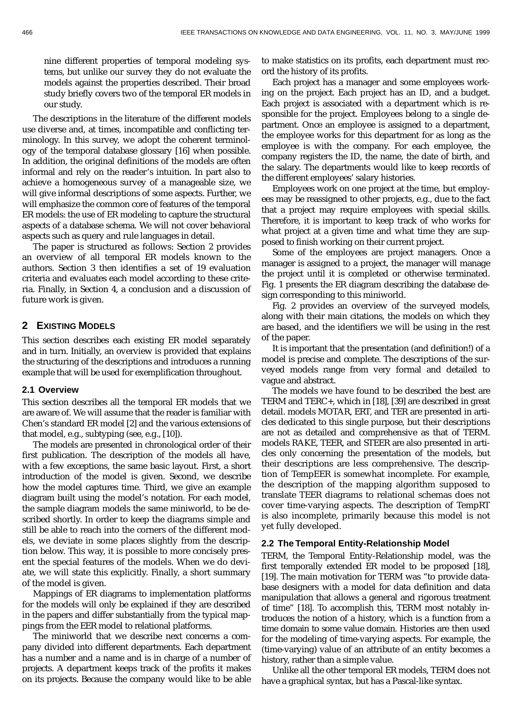nine different properties of temporal modeling systems, but unlike our survey they do not evaluate the models against the properties described. Their broad study briefly covers two of the temporal ER models in our study.

The descriptions in the literature of the different models use diverse and, at times, incompatible and conflicting terminology. In this survey, we adopt the coherent terminology of the temporal database glossary [16] when possible. In addition, the original definitions of the models are often informal and rely on the reader's intuition. In part also to achieve a homogeneous survey of a manageable size, we will give informal descriptions of some aspects. Further, we will emphasize the common core of features of the temporal ER models: the use of ER modeling to capture the structural aspects of a database schema. We will not cover behavioral aspects such as query and rule languages in detail.

The paper is structured as follows: Section 2 provides an overview of all temporal ER models known to the authors. Section 3 then identifies a set of 19 evaluation criteria and evaluates each model according to these criteria. Finally, in Section 4, a conclusion and a discussion of future work is given.

# **2 EXISTING MODELS**

This section describes each existing ER model separately and in turn. Initially, an overview is provided that explains the structuring of the descriptions and introduces a running example that will be used for exemplification throughout.

#### **2.1 Overview**

This section describes all the temporal ER models that we are aware of. We will assume that the reader is familiar with Chen's standard ER model [2] and the various extensions of that model, e.g., subtyping (see, e.g., [10]).

The models are presented in chronological order of their first publication. The description of the models all have, with a few exceptions, the same basic layout. First, a short introduction of the model is given. Second, we describe how the model captures time. Third, we give an example diagram built using the model's notation. For each model, the sample diagram models the same miniworld, to be described shortly. In order to keep the diagrams simple and still be able to reach into the corners of the different models, we deviate in some places slightly from the description below. This way, it is possible to more concisely present the special features of the models. When we do deviate, we will state this explicitly. Finally, a short summary of the model is given.

Mappings of ER diagrams to implementation platforms for the models will only be explained if they are described in the papers and differ substantially from the typical mappings from the EER model to relational platforms.

The miniworld that we describe next concerns a company divided into different departments. Each department has a number and a name and is in charge of a number of projects. A department keeps track of the profits it makes on its projects. Because the company would like to be able to make statistics on its profits, each department must record the history of its profits.

Each project has a manager and some employees working on the project. Each project has an ID, and a budget. Each project is associated with a department which is responsible for the project. Employees belong to a single department. Once an employee is assigned to a department, the employee works for this department for as long as the employee is with the company. For each employee, the company registers the ID, the name, the date of birth, and the salary. The departments would like to keep records of the different employees' salary histories.

Employees work on one project at the time, but employees may be reassigned to other projects, e.g., due to the fact that a project may require employees with special skills. Therefore, it is important to keep track of who works for what project at a given time and what time they are supposed to finish working on their current project.

Some of the employees are project managers. Once a manager is assigned to a project, the manager will manage the project until it is completed or otherwise terminated. Fig. 1 presents the ER diagram describing the database design corresponding to this miniworld.

Fig. 2 provides an overview of the surveyed models, along with their main citations, the models on which they are based, and the identifiers we will be using in the rest of the paper.

It is important that the presentation (and definition!) of a model is precise and complete. The descriptions of the surveyed models range from very formal and detailed to vague and abstract.

The models we have found to be described the best are TERM and TERC+, which in [18], [39] are described in great detail. models MOTAR, ERT, and TER are presented in articles dedicated to this single purpose, but their descriptions are not as detailed and comprehensive as that of TERM. models RAKE, TEER, and STEER are also presented in articles only concerning the presentation of the models, but their descriptions are less comprehensive. The description of TempEER is somewhat incomplete. For example, the description of the mapping algorithm supposed to translate TEER diagrams to relational schemas does not cover time-varying aspects. The description of TempRT is also incomplete, primarily because this model is not yet fully developed.

#### **2.2 The Temporal Entity-Relationship Model**

TERM, the Temporal Entity-Relationship model, was the first temporally extended ER model to be proposed [18], [19]. The main motivation for TERM was "to provide database designers with a model for data definition and data manipulation that allows a general and rigorous treatment of time" [18]. To accomplish this, TERM most notably introduces the notion of a history, which is a function from a time domain to some value domain. Histories are then used for the modeling of time-varying aspects. For example, the (time-varying) value of an attribute of an entity becomes a history, rather than a simple value.

Unlike all the other temporal ER models, TERM does not have a graphical syntax, but has a Pascal-like syntax.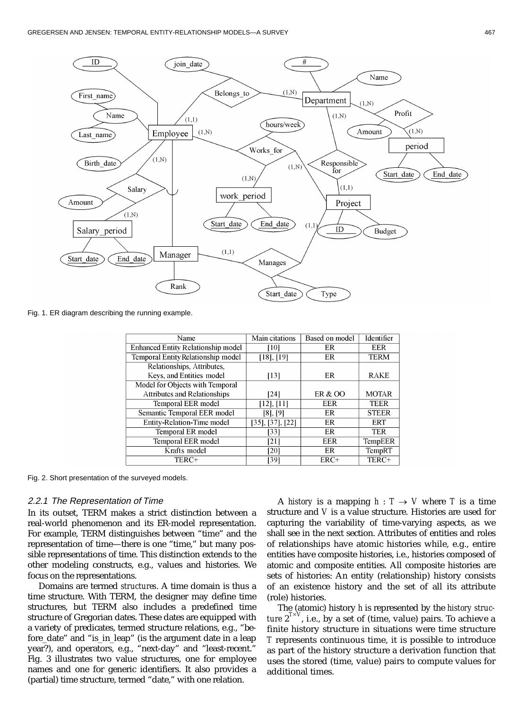

Fig. 1. ER diagram describing the running example.

| Name                                      | Main citations   | Based on model | Identifier   |
|-------------------------------------------|------------------|----------------|--------------|
| <b>Enhanced Entity Relationship model</b> | [10]             | ER             | <b>EER</b>   |
| Temporal Entity Relationship model        | $[18]$ , $[19]$  | ER             | <b>TERM</b>  |
| Relationships, Attributes,                |                  |                |              |
| Keys, and Entities model                  | [13]             | ER             | <b>RAKE</b>  |
| Model for Objects with Temporal           |                  |                |              |
| <b>Attributes and Relationships</b>       | [24]             | ER & OO        | <b>MOTAR</b> |
| <b>Temporal EER model</b>                 | $[12]$ , $[11]$  | <b>EER</b>     | <b>TEER</b>  |
| Semantic Temporal EER model               | $[8]$ , $[9]$    | ER             | <b>STEER</b> |
| Entity-Relation-Time model                | [35], [37], [22] | ER             | <b>ERT</b>   |
| Temporal ER model                         | [33]             | ER             | <b>TER</b>   |
| <b>Temporal EER model</b>                 | [21]             | <b>EER</b>     | TempEER      |
| Krafts model                              | [20]             | ER             | TempRT       |
| TERC+                                     | [39]             | ERC+           | TERC+        |

Fig. 2. Short presentation of the surveyed models.

#### 2.2.1 The Representation of Time

In its outset, TERM makes a strict distinction between a real-world phenomenon and its ER-model representation. For example, TERM distinguishes between "time" and the representation of time—there is one "time," but many possible representations of time. This distinction extends to the other modeling constructs, e.g., values and histories. We focus on the representations.

Domains are termed *structures*. A time domain is thus a time structure. With TERM, the designer may define time structures, but TERM also includes a predefined time structure of Gregorian dates. These dates are equipped with a variety of predicates, termed structure relations, e.g., "before\_date" and "is\_in\_leap" (is the argument date in a leap year?), and operators, e.g., "next-day" and "least-recent." Fig. 3 illustrates two value structures, one for employee names and one for generic identifiers. It also provides a (partial) time structure, termed "date," with one relation.

A *history* is a mapping  $h: T \rightarrow V$  where *T* is a time structure and *V* is a value structure. Histories are used for capturing the variability of time-varying aspects, as we shall see in the next section. Attributes of entities and roles of relationships have atomic histories while, e.g., entire entities have composite histories, i.e., histories composed of atomic and composite entities. All composite histories are sets of histories: An entity (relationship) history consists of an existence history and the set of all its attribute (role) histories.

The (atomic) history *h* is represented by the *history structure*  $2^{T\times V}$ , i.e., by a set of (time, value) pairs. To achieve a finite history structure in situations were time structure *T* represents continuous time, it is possible to introduce as part of the history structure a derivation function that uses the stored (time, value) pairs to compute values for additional times.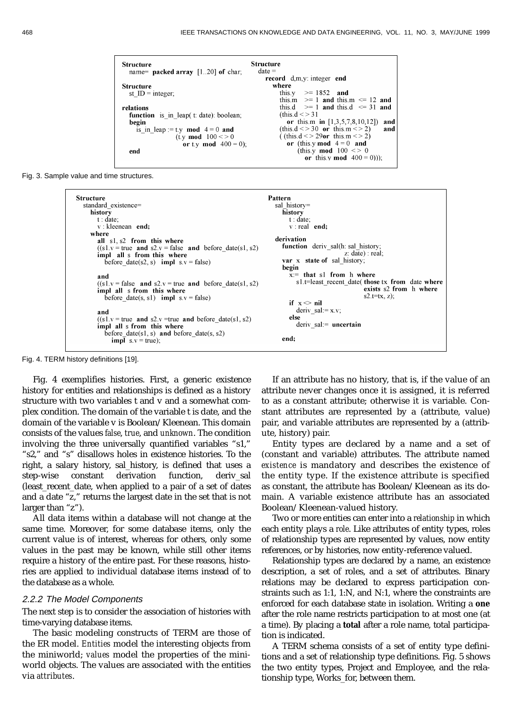```
Structure
Structure
  name= packed array [1..20] of char;
                                            date =record d,m,y: integer end
                                                 where
Structure
                                                           >= 1852 and
  st ID = integer;
                                                   this v
                                                           >= 1 and this.m \leq 12 and
                                                   this m
                                                           >= 1 and this.d <= 31 and
                                                   this d
relations
                                                   (this.d \leq 31)function is in leap(t: date): boolean;
                                                     or this.m in [1,3,5,7,8,10,12] and
  begin
    is in leap := t.y mod 4 = 0 and
                                                   (this.d < > 30 or this.m < > 2)
                                                                                     and
                 (t.y mod 100 \le 0((this.d < > 29\text{or } this.m < > 2)
                   or t.y mod 400 = 0;
                                                     or (this.y mod 4 = 0 and
                                                         (this.y mod 100 \leq 0end
                                                           or this y mod 400 = 0));
```
Fig. 3. Sample value and time structures.

```
Structure
                                                                 Pattern
  standard existence=
                                                                    sal history=
    history
                                                                      history
      t : date;t : date:v: kleenean end;
                                                                        v: real end:
    where
                                                                    derivation
       all s1, s2 from this where
                                                                      function deriv_sal(h: sal_history;
       ((s1.v = true and s2.v = false and before date(s1, s2))z: date) : real:
       impl all s from this where
                                                                      var x state of sal history;
         before_date(s2, s) impl s.v = false)
                                                                      begin
                                                                        x = that sl from h where
       and
                                                                          s1.t=least_recent_date(those tx from date where
       ((s1.v = false \text{ and } s2.v = true \text{ and } before date(s1, s2))impl all s from this where
                                                                                                 exists s2 from h where
                                                                                                 s2.t=tx, z):
         before_date(s, s1) impl s.v = false)
                                                                        if x \leq nil
                                                                          deriv_sal := x.v;and
       ((s1.v = true and s2.v = true and before date(s1, s2))else
                                                                          deriv_sal:= uncertain
       impl all s from this where
         before_date(s1, s) and before_date(s, s2)end:
           impl s.v = true;
```
Fig. 4. TERM history definitions [19].

Fig. 4 exemplifies histories. First, a generic existence history for entities and relationships is defined as a history structure with two variables t and v and a somewhat complex condition. The domain of the variable t is date, and the domain of the variable v is Boolean/Kleenean. This domain consists of the values *false*, *true*, and *unknown*. The condition involving the three universally quantified variables "s1," "s2," and "s" disallows holes in existence histories. To the right, a salary history, sal\_history, is defined that uses a step-wise constant derivation function, deriv\_sal (least\_recent\_date, when applied to a pair of a set of dates and a date "z," returns the largest date in the set that is not larger than "z").

All data items within a database will not change at the same time. Moreover, for some database items, only the current value is of interest, whereas for others, only some values in the past may be known, while still other items require a history of the entire past. For these reasons, histories are applied to individual database items instead of to the database as a whole.

## 2.2.2 The Model Components

The next step is to consider the association of histories with time-varying database items.

The basic modeling constructs of TERM are those of the ER model. *Entities* model the interesting objects from the miniworld; *values* model the properties of the miniworld objects. The values are associated with the entities via *attributes*.

If an attribute has no history, that is, if the value of an attribute never changes once it is assigned, it is referred to as a constant attribute; otherwise it is variable. Constant attributes are represented by a (attribute, value) pair, and variable attributes are represented by a (attribute, history) pair.

Entity types are declared by a name and a set of (constant and variable) attributes. The attribute named *existence* is mandatory and describes the existence of the entity type. If the existence attribute is specified as constant, the attribute has Boolean/Kleenean as its domain. A variable existence attribute has an associated Boolean/Kleenean-valued history.

Two or more entities can enter into a *relationship* in which each entity plays a *role*. Like attributes of entity types, roles of relationship types are represented by values, now entity references, or by histories, now entity-reference valued.

Relationship types are declared by a name, an existence description, a set of roles, and a set of attributes. Binary relations may be declared to express participation constraints such as 1:1, 1:N, and N:1, where the constraints are enforced for each database state in isolation. Writing a **one** after the role name restricts participation to at most one (at a time). By placing a **total** after a role name, total participation is indicated.

A TERM schema consists of a set of entity type definitions and a set of relationship type definitions. Fig. 5 shows the two entity types, Project and Employee, and the relationship type, Works\_for, between them.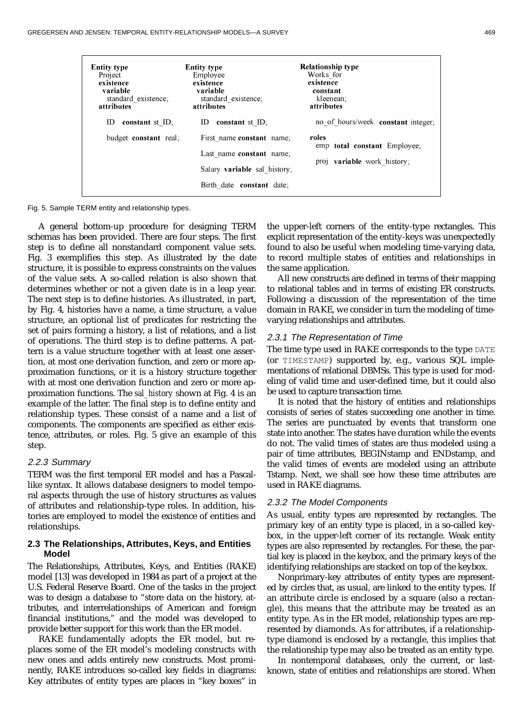| <b>Entity type</b><br>Project<br>existence<br>variable<br>standard existence;<br>attributes | <b>Entity type</b><br>Employee<br>existence<br>variable<br>standard existence;<br>attributes | <b>Relationship type</b><br>Works for<br>existence<br>constant<br>kleenean:<br>attributes |
|---------------------------------------------------------------------------------------------|----------------------------------------------------------------------------------------------|-------------------------------------------------------------------------------------------|
| ID<br>constant st $ID$ ;                                                                    | constant st $ID$ ;<br>ID                                                                     | no of hours/week constant integer;                                                        |
| budget <b>constant</b> real:                                                                | First name constant name:                                                                    | roles                                                                                     |
|                                                                                             | Last name constant name;                                                                     | emp total constant Employee;                                                              |
|                                                                                             | Salary <b>variable</b> sal history;                                                          | proj <b>variable</b> work history;                                                        |
|                                                                                             | Birth date constant date;                                                                    |                                                                                           |

Fig. 5. Sample TERM entity and relationship types.

A general bottom-up procedure for designing TERM schemas has been provided. There are four steps. The first step is to define all nonstandard component value sets. Fig. 3 exemplifies this step. As illustrated by the date structure, it is possible to express constraints on the values of the value sets. A so-called relation is also shown that determines whether or not a given date is in a leap year. The next step is to define histories. As illustrated, in part, by Fig. 4, histories have a name, a time structure, a value structure, an optional list of predicates for restricting the set of pairs forming a history, a list of relations, and a list of operations. The third step is to define patterns. A pattern is a value structure together with at least one assertion, at most one derivation function, and zero or more approximation functions, or it is a history structure together with at most one derivation function and zero or more approximation functions. The *sal\_history* shown at Fig. 4 is an example of the latter. The final step is to define entity and relationship types. These consist of a name and a list of components. The components are specified as either existence, attributes, or roles. Fig. 5 give an example of this step.

#### 2.2.3 Summary

TERM was the first temporal ER model and has a Pascallike syntax. It allows database designers to model temporal aspects through the use of history structures as values of attributes and relationship-type roles. In addition, histories are employed to model the existence of entities and relationships.

# **2.3 The Relationships, Attributes, Keys, and Entities Model**

The Relationships, Attributes, Keys, and Entities (RAKE) model [13] was developed in 1984 as part of a project at the U.S. Federal Reserve Board. One of the tasks in the project was to design a database to "store data on the history, attributes, and interrelationships of American and foreign financial institutions," and the model was developed to provide better support for this work than the ER model.

RAKE fundamentally adopts the ER model, but replaces some of the ER model's modeling constructs with new ones and adds entirely new constructs. Most prominently, RAKE introduces so-called key fields in diagrams: Key attributes of entity types are places in "key boxes" in the upper-left corners of the entity-type rectangles. This explicit representation of the entity-keys was unexpectedly found to also be useful when modeling time-varying data, to record multiple states of entities and relationships in the same application.

All new constructs are defined in terms of their mapping to relational tables and in terms of existing ER constructs. Following a discussion of the representation of the time domain in RAKE, we consider in turn the modeling of timevarying relationships and attributes.

## 2.3.1 The Representation of Time

The time type used in RAKE corresponds to the type  $\Box$   $\Box$   $\Box$   $\Box$   $\Box$ (or TIMESTAMP) supported by, e.g., various SQL implementations of relational DBMSs. This type is used for modeling of valid time and user-defined time, but it could also be used to capture transaction time.

It is noted that the history of entities and relationships consists of series of states succeeding one another in time. The series are punctuated by events that transform one state into another. The states have duration while the events do not. The valid times of states are thus modeled using a pair of time attributes, BEGINstamp and ENDstamp, and the valid times of events are modeled using an attribute Tstamp. Next, we shall see how these time attributes are used in RAKE diagrams.

#### 2.3.2 The Model Components

As usual, entity types are represented by rectangles. The primary key of an entity type is placed, in a so-called keybox, in the upper-left corner of its rectangle. Weak entity types are also represented by rectangles. For these, the partial key is placed in the keybox, and the primary keys of the identifying relationships are stacked on top of the keybox.

Nonprimary-key attributes of entity types are represented by circles that, as usual, are linked to the entity types. If an attribute circle is enclosed by a square (also a rectangle), this means that the attribute may be treated as an entity type. As in the ER model, relationship types are represented by diamonds. As for attributes, if a relationshiptype diamond is enclosed by a rectangle, this implies that the relationship type may also be treated as an entity type.

In nontemporal databases, only the current, or lastknown, state of entities and relationships are stored. When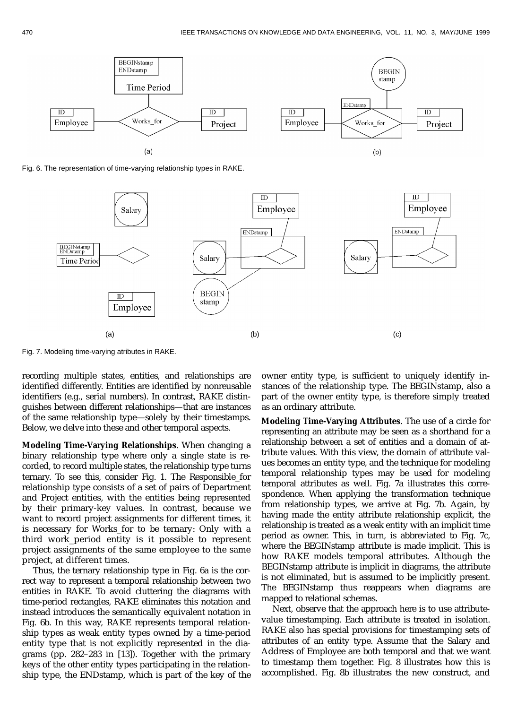

Fig. 6. The representation of time-varying relationship types in RAKE.



Fig. 7. Modeling time-varying atributes in RAKE.

recording multiple states, entities, and relationships are identified differently. Entities are identified by nonreusable identifiers (e.g., serial numbers). In contrast, RAKE distinguishes between different relationships—that are instances of the same relationship type—solely by their timestamps. Below, we delve into these and other temporal aspects.

**Modeling Time-Varying Relationships**. When changing a binary relationship type where only a single state is recorded, to record multiple states, the relationship type turns ternary. To see this, consider Fig. 1. The Responsible\_for relationship type consists of a set of pairs of Department and Project entities, with the entities being represented by their primary-key values. In contrast, because we want to record project assignments for different times, it is necessary for Works for to be ternary: Only with a third work\_period entity is it possible to represent project assignments of the same employee to the same project, at different times.

Thus, the ternary relationship type in Fig. 6a is the correct way to represent a temporal relationship between two entities in RAKE. To avoid cluttering the diagrams with time-period rectangles, RAKE eliminates this notation and instead introduces the semantically equivalent notation in Fig. 6b. In this way, RAKE represents temporal relationship types as weak entity types owned by a time-period entity type that is not explicitly represented in the diagrams (pp. 282–283 in [13]). Together with the primary keys of the other entity types participating in the relationship type, the ENDstamp, which is part of the key of the

owner entity type, is sufficient to uniquely identify instances of the relationship type. The BEGINstamp, also a part of the owner entity type, is therefore simply treated as an ordinary attribute.

**Modeling Time-Varying Attributes**. The use of a circle for representing an attribute may be seen as a shorthand for a relationship between a set of entities and a domain of attribute values. With this view, the domain of attribute values becomes an entity type, and the technique for modeling temporal relationship types may be used for modeling temporal attributes as well. Fig. 7a illustrates this correspondence. When applying the transformation technique from relationship types, we arrive at Fig. 7b. Again, by having made the entity attribute relationship explicit, the relationship is treated as a weak entity with an implicit time period as owner. This, in turn, is abbreviated to Fig. 7c, where the BEGINstamp attribute is made implicit. This is how RAKE models temporal attributes. Although the BEGINstamp attribute is implicit in diagrams, the attribute is not eliminated, but is assumed to be implicitly present. The BEGINstamp thus reappears when diagrams are mapped to relational schemas.

Next, observe that the approach here is to use attributevalue timestamping. Each attribute is treated in isolation. RAKE also has special provisions for timestamping sets of attributes of an entity type. Assume that the Salary and Address of Employee are both temporal and that we want to timestamp them together. Fig. 8 illustrates how this is accomplished. Fig. 8b illustrates the new construct, and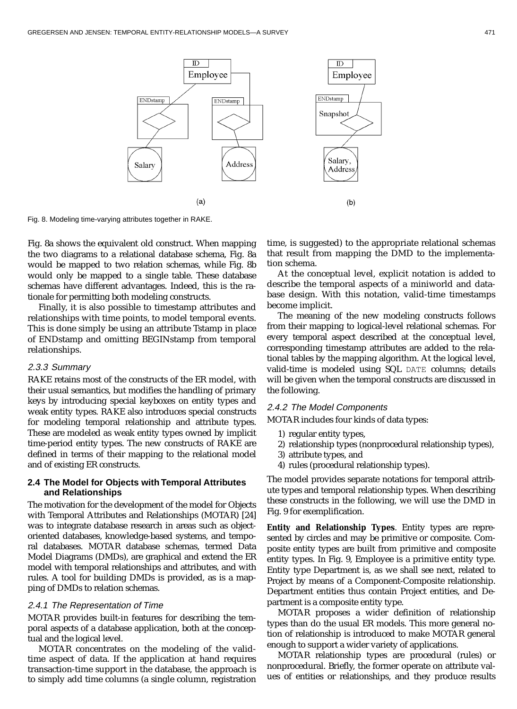

Fig. 8. Modeling time-varying attributes together in RAKE.

Fig. 8a shows the equivalent old construct. When mapping the two diagrams to a relational database schema, Fig. 8a would be mapped to two relation schemas, while Fig. 8b would only be mapped to a single table. These database schemas have different advantages. Indeed, this is the rationale for permitting both modeling constructs.

Finally, it is also possible to timestamp attributes and relationships with time points, to model temporal events. This is done simply be using an attribute Tstamp in place of ENDstamp and omitting BEGINstamp from temporal relationships.

# 2.3.3 Summary

RAKE retains most of the constructs of the ER model, with their usual semantics, but modifies the handling of primary keys by introducing special keyboxes on entity types and weak entity types. RAKE also introduces special constructs for modeling temporal relationship and attribute types. These are modeled as weak entity types owned by implicit time-period entity types. The new constructs of RAKE are defined in terms of their mapping to the relational model and of existing ER constructs.

# **2.4 The Model for Objects with Temporal Attributes and Relationships**

The motivation for the development of the model for Objects with Temporal Attributes and Relationships (MOTAR) [24] was to integrate database research in areas such as objectoriented databases, knowledge-based systems, and temporal databases. MOTAR database schemas, termed Data Model Diagrams (DMDs), are graphical and extend the ER model with temporal relationships and attributes, and with rules. A tool for building DMDs is provided, as is a mapping of DMDs to relation schemas.

#### 2.4.1 The Representation of Time

MOTAR provides built-in features for describing the temporal aspects of a database application, both at the conceptual and the logical level.

MOTAR concentrates on the modeling of the validtime aspect of data. If the application at hand requires transaction-time support in the database, the approach is to simply add time columns (a single column, registration time, is suggested) to the appropriate relational schemas that result from mapping the DMD to the implementation schema.

At the conceptual level, explicit notation is added to describe the temporal aspects of a miniworld and database design. With this notation, valid-time timestamps become implicit.

The meaning of the new modeling constructs follows from their mapping to logical-level relational schemas. For every temporal aspect described at the conceptual level, corresponding timestamp attributes are added to the relational tables by the mapping algorithm. At the logical level, valid-time is modeled using SQL DATE columns; details will be given when the temporal constructs are discussed in the following.

#### 2.4.2 The Model Components

MOTAR includes four kinds of data types:

- 1) regular entity types,
- 2) relationship types (nonprocedural relationship types),
- 3) attribute types, and
- 4) rules (procedural relationship types).

The model provides separate notations for temporal attribute types and temporal relationship types. When describing these constructs in the following, we will use the DMD in Fig. 9 for exemplification.

**Entity and Relationship Types**. Entity types are represented by circles and may be primitive or composite. Composite entity types are built from primitive and composite entity types. In Fig. 9, Employee is a primitive entity type. Entity type Department is, as we shall see next, related to Project by means of a Component-Composite relationship. Department entities thus contain Project entities, and Department is a composite entity type.

MOTAR proposes a wider definition of relationship types than do the usual ER models. This more general notion of relationship is introduced to make MOTAR general enough to support a wider variety of applications.

MOTAR relationship types are procedural (rules) or nonprocedural. Briefly, the former operate on attribute values of entities or relationships, and they produce results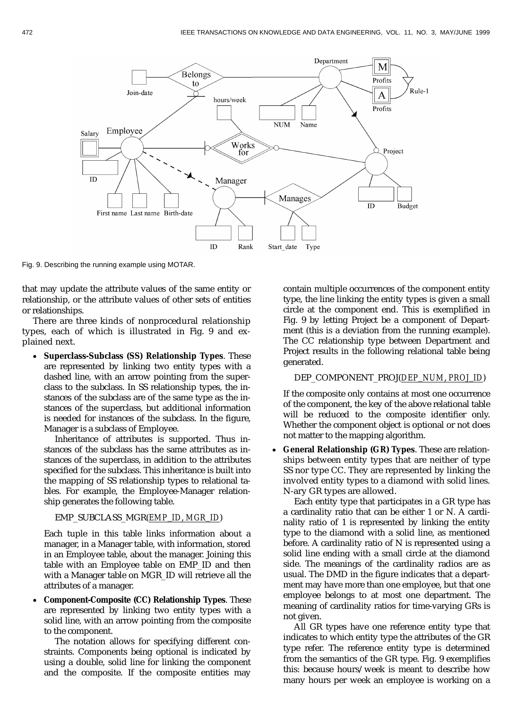

Fig. 9. Describing the running example using MOTAR.

that may update the attribute values of the same entity or relationship, or the attribute values of other sets of entities or relationships.

There are three kinds of nonprocedural relationship types, each of which is illustrated in Fig. 9 and explained next.

 **Superclass-Subclass (SS) Relationship Types**. These are represented by linking two entity types with a dashed line, with an arrow pointing from the superclass to the subclass. In SS relationship types, the instances of the subclass are of the same type as the instances of the superclass, but additional information is needed for instances of the subclass. In the figure, Manager is a subclass of Employee.

Inheritance of attributes is supported. Thus instances of the subclass has the same attributes as instances of the superclass, in addition to the attributes specified for the subclass. This inheritance is built into the mapping of SS relationship types to relational tables. For example, the Employee-Manager relationship generates the following table.

#### EMP\_SUBCLASS\_MGR(*EMP*\_*ID*, *MGR*\_*ID*)

Each tuple in this table links information about a manager, in a Manager table, with information, stored in an Employee table, about the manager. Joining this table with an Employee table on EMP\_ID and then with a Manager table on MGR\_ID will retrieve all the attributes of a manager.

 **Component-Composite (CC) Relationship Types**. These are represented by linking two entity types with a solid line, with an arrow pointing from the composite to the component.

The notation allows for specifying different constraints. Components being optional is indicated by using a double, solid line for linking the component and the composite. If the composite entities may

contain multiple occurrences of the component entity type, the line linking the entity types is given a small circle at the component end. This is exemplified in Fig. 9 by letting Project be a component of Department (this is a deviation from the running example). The CC relationship type between Department and Project results in the following relational table being generated.

#### DEP\_COMPONENT\_PROJ(*DEP*\_*NUM*, *PROJ*\_*ID*)

If the composite only contains at most one occurrence of the component, the key of the above relational table will be reduced to the composite identifier only. Whether the component object is optional or not does not matter to the mapping algorithm.

 **General Relationship (GR) Types**. These are relationships between entity types that are neither of type SS nor type CC. They are represented by linking the involved entity types to a diamond with solid lines. N-ary GR types are allowed.

Each entity type that participates in a GR type has a cardinality ratio that can be either 1 or N. A cardinality ratio of 1 is represented by linking the entity type to the diamond with a solid line, as mentioned before. A cardinality ratio of N is represented using a solid line ending with a small circle at the diamond side. The meanings of the cardinality radios are as usual. The DMD in the figure indicates that a department may have more than one employee, but that one employee belongs to at most one department. The meaning of cardinality ratios for time-varying GRs is not given.

All GR types have one reference entity type that indicates to which entity type the attributes of the GR type refer. The reference entity type is determined from the semantics of the GR type. Fig. 9 exemplifies this: because hours/week is meant to describe how many hours per week an employee is working on a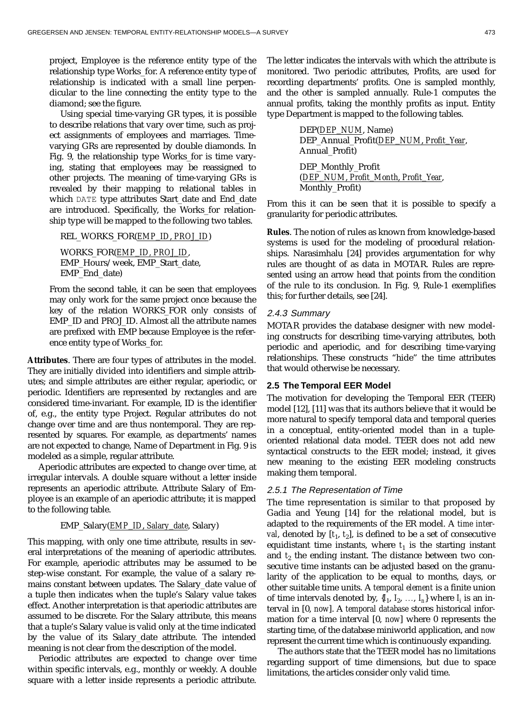project, Employee is the reference entity type of the relationship type Works\_for. A reference entity type of relationship is indicated with a small line perpendicular to the line connecting the entity type to the diamond; see the figure.

Using special time-varying GR types, it is possible to describe relations that vary over time, such as project assignments of employees and marriages. Timevarying GRs are represented by double diamonds. In Fig. 9, the relationship type Works\_for is time varying, stating that employees may be reassigned to other projects. The meaning of time-varying GRs is revealed by their mapping to relational tables in which DATE type attributes Start\_date and End\_date are introduced. Specifically, the Works\_for relationship type will be mapped to the following two tables.

REL\_WORKS\_FOR(*EMP*\_*ID*, *PROJ*\_*ID*)

WORKS\_FOR(*EMP*\_*ID, PROJ*\_*ID*, EMP\_Hours/week, EMP\_Start\_date, EMP\_End\_date)

From the second table, it can be seen that employees may only work for the same project once because the key of the relation WORKS\_FOR only consists of EMP\_ID and PROJ\_ID. Almost all the attribute names are prefixed with EMP because Employee is the reference entity type of Works\_for.

**Attributes**. There are four types of attributes in the model. They are initially divided into identifiers and simple attributes; and simple attributes are either regular, aperiodic, or periodic. Identifiers are represented by rectangles and are considered time-invariant. For example, ID is the identifier of, e.g., the entity type Project. Regular attributes do not change over time and are thus nontemporal. They are represented by squares. For example, as departments' names are not expected to change, Name of Department in Fig. 9 is modeled as a simple, regular attribute.

Aperiodic attributes are expected to change over time, at irregular intervals. A double square without a letter inside represents an aperiodic attribute. Attribute Salary of Employee is an example of an aperiodic attribute; it is mapped to the following table.

## EMP\_Salary(*EMP*\_*ID*, *Salary*\_*date*, Salary)

This mapping, with only one time attribute, results in several interpretations of the meaning of aperiodic attributes. For example, aperiodic attributes may be assumed to be step-wise constant. For example, the value of a salary remains constant between updates. The Salary\_date value of a tuple then indicates when the tuple's Salary value takes effect. Another interpretation is that aperiodic attributes are assumed to be discrete. For the Salary attribute, this means that a tuple's Salary value is valid only at the time indicated by the value of its Salary\_date attribute. The intended meaning is not clear from the description of the model.

Periodic attributes are expected to change over time within specific intervals, e.g., monthly or weekly. A double square with a letter inside represents a periodic attribute. The letter indicates the intervals with which the attribute is monitored. Two periodic attributes, Profits, are used for recording departments' profits. One is sampled monthly, and the other is sampled annually. Rule-1 computes the annual profits, taking the monthly profits as input. Entity type Department is mapped to the following tables.

| DEP(DEP_NUM, Name)                      |
|-----------------------------------------|
| DEP_Annual_Profit(DEP_NUM, Profit_Year, |
| Annual Profit)                          |
| DEP_Monthly_Profit                      |
| (DEP_NUM, Profit_Month, Profit_Year,    |

From this it can be seen that it is possible to specify a granularity for periodic attributes.

**Rules**. The notion of rules as known from knowledge-based systems is used for the modeling of procedural relationships. Narasimhalu [24] provides argumentation for why rules are thought of as data in MOTAR. Rules are represented using an arrow head that points from the condition of the rule to its conclusion. In Fig. 9, Rule-1 exemplifies this; for further details, see [24].

#### 2.4.3 Summary

MOTAR provides the database designer with new modeling constructs for describing time-varying attributes, both periodic and aperiodic, and for describing time-varying relationships. These constructs "hide" the time attributes that would otherwise be necessary.

# **2.5 The Temporal EER Model**

Monthly\_Profit)

The motivation for developing the Temporal EER (TEER) model [12], [11] was that its authors believe that it would be more natural to specify temporal data and temporal queries in a conceptual, entity-oriented model than in a tupleoriented relational data model. TEER does not add new syntactical constructs to the EER model; instead, it gives new meaning to the existing EER modeling constructs making them temporal.

#### 2.5.1 The Representation of Time

The time representation is similar to that proposed by Gadia and Yeung [14] for the relational model, but is adapted to the requirements of the ER model. A *time interval*, denoted by  $[t_1, t_2]$ , is defined to be a set of consecutive equidistant time instants, where  $t<sub>1</sub>$  is the starting instant and  $t_2$  the ending instant. The distance between two consecutive time instants can be adjusted based on the granularity of the application to be equal to months, days, or other suitable time units. A *temporal element* is a finite union of time intervals denoted by,  $\{I_1, I_2, \ldots, I_n\}$  where  $I_i$  is an interval in [0, *now*]. A *temporal database* stores historical information for a time interval [0, *now*] where 0 represents the starting time, of the database miniworld application, and *now* represent the current time which is continuously expanding.

The authors state that the TEER model has no limitations regarding support of time dimensions, but due to space limitations, the articles consider only valid time.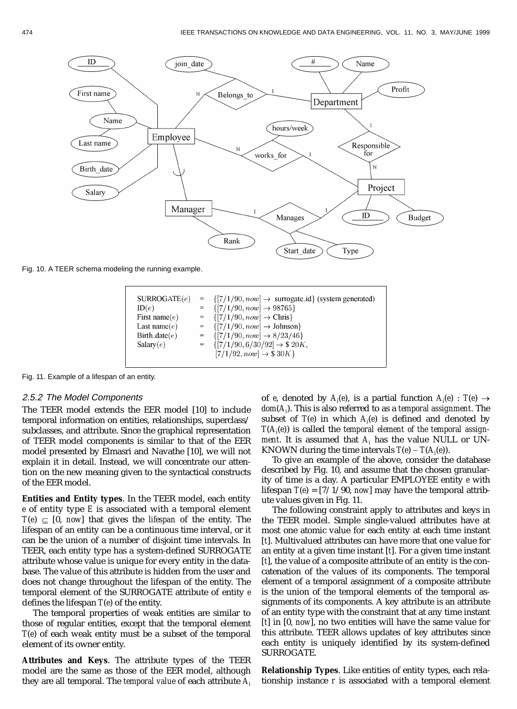

Fig. 10. A TEER schema modeling the running example.



Fig. 11. Example of a lifespan of an entity.

#### 2.5.2 The Model Components

The TEER model extends the EER model [10] to include temporal information on entities, relationships, superclass/ subclasses, and attribute. Since the graphical representation of TEER model components is similar to that of the EER model presented by Elmasri and Navathe [10], we will not explain it in detail. Instead, we will concentrate our attention on the new meaning given to the syntactical constructs of the EER model.

**Entities and Entity types**. In the TEER model, each entity *e* of entity type *E* is associated with a temporal element  $T(e) \subseteq [0, now]$  that gives the *lifespan* of the entity. The lifespan of an entity can be a continuous time interval, or it can be the union of a number of disjoint time intervals. In TEER, each entity type has a system-defined SURROGATE attribute whose value is unique for every entity in the database. The value of this attribute is hidden from the user and does not change throughout the lifespan of the entity. The temporal element of the SURROGATE attribute of entity *e* defines the lifespan *T*(*e*) of the entity.

The temporal properties of weak entities are similar to those of regular entities, except that the temporal element *T*(*e*) of each weak entity must be a subset of the temporal element of its owner entity.

**Attributes and Keys**. The attribute types of the TEER model are the same as those of the EER model, although they are all temporal. The *temporal value* of each attribute *Ai* of *e*, denoted by  $A_i(e)$ , is a partial function  $A_i(e)$  :  $T(e) \rightarrow$ *dom*(*Ai* ). This is also referred to as a *temporal assignment*. The subset of *T*(*e*) in which *Ai* (*e*) is defined and denoted by *T*(*Ai* (*e*)) is called the *temporal element of the temporal assignment*. It is assumed that  $A_i$  has the value NULL or UN-KNOWN during the time intervals  $T(e) - T(A<sub>i</sub>(e))$ .

To give an example of the above, consider the database described by Fig. 10, and assume that the chosen granularity of time is a day. A particular EMPLOYEE entity *e* with lifespan *T*(*e*) = [7/1/90, *now*] may have the temporal attribute values given in Fig. 11.

The following constraint apply to attributes and keys in the TEER model. Simple single-valued attributes have at most one atomic value for each entity at each time instant [*t*]. Multivalued attributes can have more that one value for an entity at a given time instant [*t*]. For a given time instant [*t*], the value of a composite attribute of an entity is the concatenation of the values of its components. The temporal element of a temporal assignment of a composite attribute is the union of the temporal elements of the temporal assignments of its components. A key attribute is an attribute of an entity type with the constraint that at any time instant [*t*] in [0, *now*], no two entities will have the same value for this attribute. TEER allows updates of key attributes since each entity is uniquely identified by its system-defined SURROGATE.

**Relationship Types**. Like entities of entity types, each relationship instance *r* is associated with a temporal element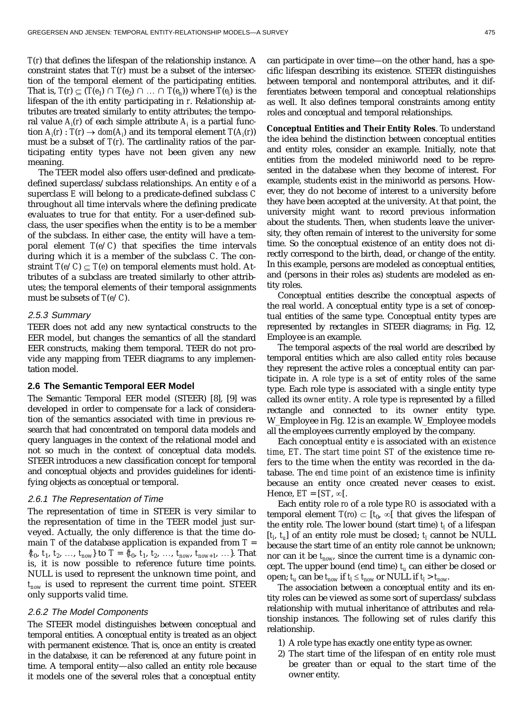*T*(*r*) that defines the lifespan of the relationship instance. A constraint states that *T*(*r*) must be a subset of the intersection of the temporal element of the participating entities. That is,  $T(r) \subseteq (T(e_1) \cap T(e_2) \cap ... \cap T(e_n))$  where  $T(e_i)$  is the lifespan of the *i*th entity participating in *r*. Relationship attributes are treated similarly to entity attributes; the temporal value  $A_i(r)$  of each simple attribute  $A_i$  is a partial function  $A_i(r)$  :  $T(r) \rightarrow dom(A_i)$  and its temporal element  $T(A_i(r))$ must be a subset of *T*(*r*). The cardinality ratios of the participating entity types have not been given any new meaning.

The TEER model also offers user-defined and predicatedefined superclass/subclass relationships. An entity *e* of a superclass *E* will belong to a predicate-defined subclass *C* throughout all time intervals where the defining predicate evaluates to true for that entity. For a user-defined subclass, the user specifies when the entity is to be a member of the subclass. In either case, the entity will have a temporal element  $T(e/C)$  that specifies the time intervals during which it is a member of the subclass *C*. The constraint  $T(e/C) \subset T(e)$  on temporal elements must hold. Attributes of a subclass are treated similarly to other attributes; the temporal elements of their temporal assignments must be subsets of *T*(*e*/*C*).

# 2.5.3 Summary

TEER does not add any new syntactical constructs to the EER model, but changes the semantics of all the standard EER constructs, making them temporal. TEER do not provide any mapping from TEER diagrams to any implementation model.

#### **2.6 The Semantic Temporal EER Model**

The Semantic Temporal EER model (STEER) [8], [9] was developed in order to compensate for a lack of consideration of the semantics associated with time in previous research that had concentrated on temporal data models and query languages in the context of the relational model and not so much in the context of conceptual data models. STEER introduces a new classification concept for temporal and conceptual objects and provides guidelines for identifying objects as conceptual or temporal.

#### 2.6.1 The Representation of Time

The representation of time in STEER is very similar to the representation of time in the TEER model just surveyed. Actually, the only difference is that the time domain *T* of the database application is expanded from *T* =  ${t_0, t_1, t_2, \ldots, t_{now}}$  to  $T = {t_0, t_1, t_2, \ldots, t_{now}, t_{now+1}, \ldots}$ . That is, it is now possible to reference future time points. NULL is used to represent the unknown time point, and  $t_{now}$  is used to represent the current time point. STEER only supports valid time.

# 2.6.2 The Model Components

The STEER model distinguishes between conceptual and temporal entities. A conceptual entity is treated as an object with permanent existence. That is, once an entity is created in the database, it can be referenced at any future point in time. A temporal entity—also called an entity role because it models one of the several roles that a conceptual entity can participate in over time—on the other hand, has a specific lifespan describing its existence. STEER distinguishes between temporal and nontemporal attributes, and it differentiates between temporal and conceptual relationships as well. It also defines temporal constraints among entity roles and conceptual and temporal relationships.

**Conceptual Entities and Their Entity Roles**. To understand the idea behind the distinction between conceptual entities and entity roles, consider an example. Initially, note that entities from the modeled miniworld need to be represented in the database when they become of interest. For example, students exist in the miniworld as persons. However, they do not become of interest to a university before they have been accepted at the university. At that point, the university might want to record previous information about the students. Then, when students leave the university, they often remain of interest to the university for some time. So the conceptual existence of an entity does not directly correspond to the birth, dead, or change of the entity. In this example, persons are modeled as conceptual entities, and (persons in their roles as) students are modeled as entity roles.

Conceptual entities describe the conceptual aspects of the real world. A conceptual entity type is a set of conceptual entities of the same type. Conceptual entity types are represented by rectangles in STEER diagrams; in Fig. 12, Employee is an example.

The temporal aspects of the real world are described by temporal entities which are also called *entity roles* because they represent the active roles a conceptual entity can participate in. A *role type* is a set of entity roles of the same type. Each role type is associated with a single entity type called its *owner entity*. A role type is represented by a filled rectangle and connected to its owner entity type. W\_Employee in Fig. 12 is an example. W\_Employee models all the employees currently employed by the company.

Each conceptual entity *e* is associated with an *existence time*, *ET*. The *start time point ST* of the existence time refers to the time when the entity was recorded in the database. The *end time point* of an existence time is infinity because an entity once created never ceases to exist. Hence,  $ET = [ST, \infty[$ .

Each entity role *ro* of a role type *RO* is associated with a temporal element  $T(ro) \subset [t_0, \infty[$  that gives the lifespan of the entity role. The lower bound (start time)  $t_l$  of a lifespan  $[t<sub>l</sub>, t<sub>u</sub>]$  of an entity role must be closed;  $t<sub>l</sub>$  cannot be NULL because the start time of an entity role cannot be unknown; nor can it be *tnow*, since the current time is a dynamic concept. The upper bound (end time)  $t<sub>u</sub>$  can either be closed or open;  $t_u$  can be  $t_{now}$  if  $t_l \le t_{now}$  or NULL if  $t_l > t_{now}$ .

The association between a conceptual entity and its entity roles can be viewed as some sort of superclass/subclass relationship with mutual inheritance of attributes and relationship instances. The following set of rules clarify this relationship.

- 1) A role type has exactly one entity type as owner.
- 2) The start time of the lifespan of en entity role must be greater than or equal to the start time of the owner entity.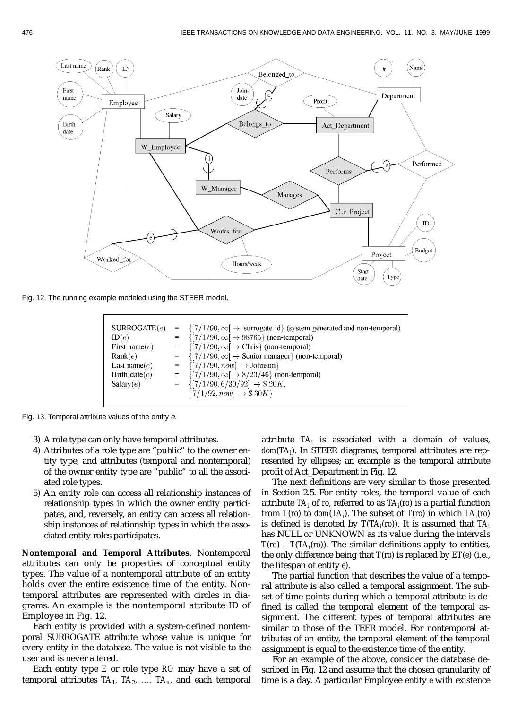

Fig. 12. The running example modeled using the STEER model.

| $\text{ SURROGATE}(e)$ | $= \{ [7/1/90, \infty] \rightarrow$ surrogate_id} (system generated and non-temporal) |
|------------------------|---------------------------------------------------------------------------------------|
| ID(e)                  | $= \{ [7/1/90, \infty] \rightarrow 98765 \}$ (non-temporal)                           |
| First name $(e)$       | = $\{ [7/1/90, \infty] \rightarrow \text{Chris} \}$ (non-temporal)                    |
| Rank(e)                | $= \{ [7/1/90, \infty] \rightarrow$ Senior manager} (non-temporal)                    |
| Last name $(e)$        | $= \{ [7/1/90, now] \rightarrow \text{Johnson} \}$                                    |
| Birth_date $(e)$       | = $\{ [7/1/90, \infty] \rightarrow 8/23/46 \}$ (non-temporal)                         |
| Salary(e)              | $= \{ [7/1/90, 6/30/92] \rightarrow $20K,$                                            |
|                        | $[7/1/92, now] \rightarrow $30K$                                                      |
|                        |                                                                                       |

Fig. 13. Temporal attribute values of the entity e.

- 3) A role type can only have temporal attributes.
- 4) Attributes of a role type are "public" to the owner entity type, and attributes (temporal and nontemporal) of the owner entity type are "public" to all the associated role types.
- 5) An entity role can access all relationship instances of relationship types in which the owner entity participates, and, reversely, an entity can access all relationship instances of relationship types in which the associated entity roles participates.

**Nontemporal and Temporal Attributes**. Nontemporal attributes can only be properties of conceptual entity types. The value of a nontemporal attribute of an entity holds over the entire existence time of the entity. Nontemporal attributes are represented with circles in diagrams. An example is the nontemporal attribute ID of Employee in Fig. 12.

Each entity is provided with a system-defined nontemporal SURROGATE attribute whose value is unique for every entity in the database. The value is not visible to the user and is never altered.

Each entity type *E* or role type *RO* may have a set of temporal attributes  $TA_1$ ,  $TA_2$ , ...,  $TA_n$ , and each temporal

attribute *TAi* is associated with a domain of values, *dom*(*TAi* ). In STEER diagrams, temporal attributes are represented by ellipses; an example is the temporal attribute profit of Act\_Department in Fig. 12.

The next definitions are very similar to those presented in Section 2.5. For entity roles, the temporal value of each attribute *TA<sub>i</sub>* of *ro, referred to as TA<sub>i</sub>(ro*) is a partial function from *T*(*ro*) to *dom*(*TA*<sub>*j*</sub>). The subset of *T*(*ro*) in which *TA*<sub>*j*</sub>(*ro*) is defined is denoted by *T*(*TAi* (*ro*)). It is assumed that *TAi* has NULL or UNKNOWN as its value during the intervals  $T(ro) - T(TA<sub>i</sub>(ro))$ . The similar definitions apply to entities, the only difference being that *T*(*ro*) is replaced by *ET*(*e*) (i.e., the lifespan of entity *e*).

The partial function that describes the value of a temporal attribute is also called a temporal assignment. The subset of time points during which a temporal attribute is defined is called the temporal element of the temporal assignment. The different types of temporal attributes are similar to those of the TEER model. For nontemporal attributes of an entity, the temporal element of the temporal assignment is equal to the existence time of the entity.

For an example of the above, consider the database described in Fig. 12 and assume that the chosen granularity of time is a day. A particular Employee entity *e* with existence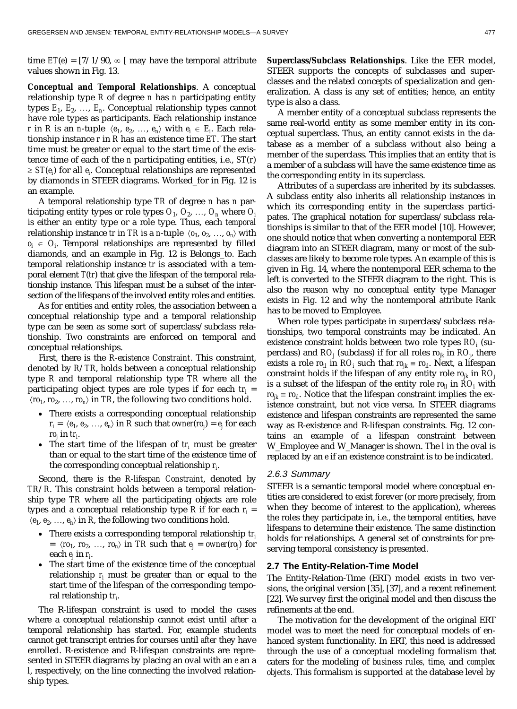time  $ET(e) = \frac{7}{190}$ ,  $\infty$  [ may have the temporal attribute values shown in Fig. 13.

**Conceptual and Temporal Relationships**. A conceptual relationship type *R* of degree *n* has *n* participating entity types  $E_1, E_2, \ldots, E_n$ . Conceptual relationship types cannot have role types as participants. Each relationship instance *r* in *R* is an *n*-tuple  $\langle e_1, e_2, ..., e_n \rangle$  with  $e_i \in E_i$ . Each relationship instance *r* in *R* has an existence time *ET*. The start time must be greater or equal to the start time of the existence time of each of the *n* participating entities, i.e., *ST*(*r*)  $\geq ST(e_i)$  for all  $e_i$ . Conceptual relationships are represented by diamonds in STEER diagrams. Worked\_for in Fig. 12 is an example.

A temporal relationship type *TR* of degree *n* has *n* participating entity types or role types  $O_1$ ,  $O_2$ , ...,  $O_n$  where  $O_i$ is either an entity type or a role type. Thus, each *temporal* relationship instance *tr* in *TR* is a *n*-tuple  $\langle o_1, o_2, ..., o_n \rangle$  with  $o_i \in O_i$ . Temporal relationships are represented by filled diamonds, and an example in Fig. 12 is Belongs\_to. Each temporal relationship instance *tr* is associated with a temporal element *T*(*tr*) that give the lifespan of the temporal relationship instance. This lifespan must be a subset of the intersection of the lifespans of the involved entity roles and entities.

As for entities and entity roles, the association between a conceptual relationship type and a temporal relationship type can be seen as some sort of superclass/subclass relationship. Two constraints are enforced on temporal and conceptual relationships.

First, there is the *R-existence Constraint*. This constraint, denoted by *R*/*TR*, holds between a conceptual relationship type *R* and temporal relationship type *TR* where all the participating object types are role types if for each  $tr_i =$  $\langle r_0, r_2, \ldots, r_{n} \rangle$  in *TR*, the following two conditions hold.

- There exists a corresponding conceptual relationship  $r_i = \langle e_1, e_2, \ldots, e_n \rangle$  in *R* such that *owner*(*ro<sub>j</sub>*) =  $e_j$  for each *roj* in *tri* .
- The start time of the lifespan of  $tr_i$  must be greater than or equal to the start time of the existence time of the corresponding conceptual relationship *ri* .

Second, there is the *R-lifespan Constraint*, denoted by *TR*/*R*. This constraint holds between a temporal relationship type *TR* where all the participating objects are role types and a conceptual relationship type  $R$  if for each  $r_i =$  $\langle e_1, e_2, \ldots, e_n \rangle$  in *R*, the following two conditions hold.

- There exists a corresponding temporal relationship *tri*  $= \langle r\mathbf{0}_1, r\mathbf{0}_2, \ldots, r\mathbf{0}_n \rangle$  in *TR* such that  $\mathbf{e}_j = \text{owner}(r\mathbf{0}_j)$  for each  $\mathit{e}_{j}$  in  $\mathit{r}_{i \cdot}$
- The start time of the existence time of the conceptual relationship *ri* must be greater than or equal to the start time of the lifespan of the corresponding temporal relationship *tri* .

The R-lifespan constraint is used to model the cases where a conceptual relationship cannot exist until after a temporal relationship has started. For, example students cannot get transcript entries for courses until *after* they have enrolled. R-existence and R-lifespan constraints are represented in STEER diagrams by placing an oval with an *e* an a *l*, respectively, on the line connecting the involved relationship types.

**Superclass/Subclass Relationships**. Like the EER model, STEER supports the concepts of subclasses and superclasses and the related concepts of specialization and generalization. A class is any set of entities; hence, an entity type is also a class.

A member entity of a conceptual subclass represents the same real-world entity as some member entity in its conceptual superclass. Thus, an entity cannot exists in the database as a member of a subclass without also being a member of the superclass. This implies that an entity that is a member of a subclass will have the same existence time as the corresponding entity in its superclass.

Attributes of a superclass are inherited by its subclasses. A subclass entity also inherits all relationship instances in which its corresponding entity in the superclass participates. The graphical notation for superclass/subclass relationships is similar to that of the EER model [10]. However, one should notice that when converting a nontemporal EER diagram into an STEER diagram, many or most of the subclasses are likely to become role types. An example of this is given in Fig. 14, where the nontemporal EER schema to the left is converted to the STEER diagram to the right. This is also the reason why no conceptual entity type Manager exists in Fig. 12 and why the nontemporal attribute Rank has to be moved to Employee.

When role types participate in superclass/subclass relationships, two temporal constraints may be indicated. An existence constraint holds between two role types *RO<sub>i</sub>* (superclass) and  $RO_{j}$  (subclass) if for all roles  $ro_{jk}$  in  $RO_{j\cdot}$  there exists a role  $ro_{il}$  in  $RO_i$  such that  $ro_{jk} = ro_{il}$ . Next, a lifespan constraint holds if the lifespan of any entity role  $ro_{ik}$  in  $RO_{j}$ is a subset of the lifespan of the entity role  $\mathit{ro}_{il}$  in  $\mathit{RO}_{i}$  with  $ro_{ik} \equiv ro_{il}$ . Notice that the lifespan constraint implies the existence constraint, but not vice versa. In STEER diagrams existence and lifespan constraints are represented the same way as R-existence and R-lifespan constraints. Fig. 12 contains an example of a lifespan constraint between W\_Employee and W\_Manager is shown. The *l* in the oval is replaced by an *e* if an existence constraint is to be indicated.

#### 2.6.3 Summary

STEER is a semantic temporal model where conceptual entities are considered to exist forever (or more precisely, from when they become of interest to the application), whereas the roles they participate in, i.e., the temporal entities, have lifespans to determine their existence. The same distinction holds for relationships. A general set of constraints for preserving temporal consistency is presented.

# **2.7 The Entity-Relation-Time Model**

The Entity-Relation-Time (ERT) model exists in two versions, the original version [35], [37], and a recent refinement [22]. We survey first the original model and then discuss the refinements at the end.

The motivation for the development of the original ERT model was to meet the need for conceptual models of enhanced system functionality. In ERT, this need is addressed through the use of a conceptual modeling formalism that caters for the modeling of *business rules, time*, and *complex objects*. This formalism is supported at the database level by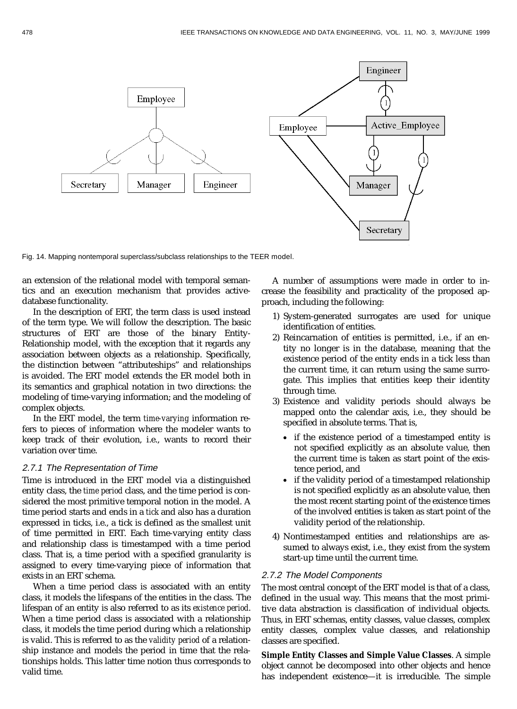

Fig. 14. Mapping nontemporal superclass/subclass relationships to the TEER model.

an extension of the relational model with temporal semantics and an execution mechanism that provides activedatabase functionality.

In the description of ERT, the term class is used instead of the term type. We will follow the description. The basic structures of ERT are those of the binary Entity-Relationship model, with the exception that it regards any association between objects as a relationship. Specifically, the distinction between "attributeships" and relationships is avoided. The ERT model extends the ER model both in its semantics and graphical notation in two directions: the modeling of time-varying information; and the modeling of complex objects.

In the ERT model, the term *time-varying* information refers to pieces of information where the modeler wants to keep track of their evolution, i.e., wants to record their variation over time.

#### 2.7.1 The Representation of Time

Time is introduced in the ERT model via a distinguished entity class, the *time period* class, and the time period is considered the most primitive temporal notion in the model. A time period starts and ends in a *tick* and also has a duration expressed in ticks, i.e., a tick is defined as the smallest unit of time permitted in ERT. Each time-varying entity class and relationship class is timestamped with a time period class. That is, a time period with a specified granularity is assigned to every time-varying piece of information that exists in an ERT schema.

When a time period class is associated with an entity class, it models the lifespans of the entities in the class. The lifespan of an entity is also referred to as its *existence period*. When a time period class is associated with a relationship class, it models the time period during which a relationship is valid. This is referred to as the *validity period* of a relationship instance and models the period in time that the relationships holds. This latter time notion thus corresponds to valid time.

A number of assumptions were made in order to increase the feasibility and practicality of the proposed approach, including the following:

- 1) System-generated surrogates are used for unique identification of entities.
- 2) Reincarnation of entities is permitted, i.e., if an entity no longer is in the database, meaning that the existence period of the entity ends in a tick less than the current time, it can return using the same surrogate. This implies that entities keep their identity through time.
- 3) Existence and validity periods should always be mapped onto the calendar axis, i.e., they should be specified in absolute terms. That is,
	- if the existence period of a timestamped entity is not specified explicitly as an absolute value, then the current time is taken as start point of the existence period, and
	- if the validity period of a timestamped relationship is not specified explicitly as an absolute value, then the most recent starting point of the existence times of the involved entities is taken as start point of the validity period of the relationship.
- 4) Nontimestamped entities and relationships are assumed to always exist, i.e., they exist from the system start-up time until the current time.

# 2.7.2 The Model Components

The most central concept of the ERT model is that of a class, defined in the usual way. This means that the most primitive data abstraction is classification of individual objects. Thus, in ERT schemas, entity classes, value classes, complex entity classes, complex value classes, and relationship classes are specified.

**Simple Entity Classes and Simple Value Classes**. A simple object cannot be decomposed into other objects and hence has independent existence—it is irreducible. The simple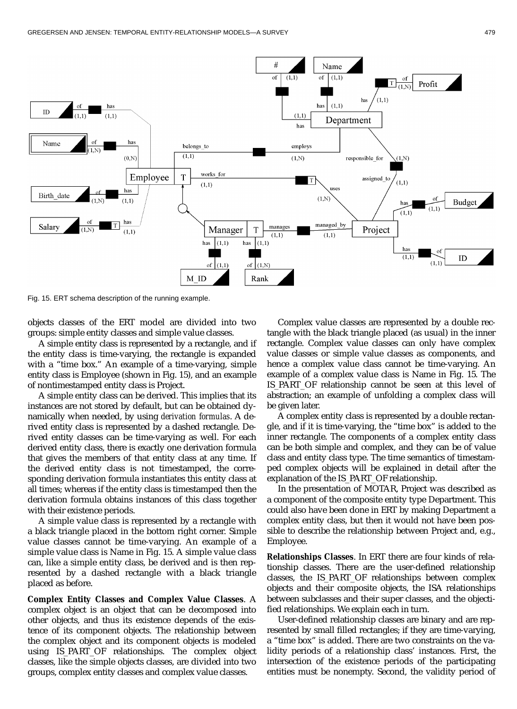

Fig. 15. ERT schema description of the running example.

objects classes of the ERT model are divided into two groups: simple entity classes and simple value classes.

A simple entity class is represented by a rectangle, and if the entity class is time-varying, the rectangle is expanded with a "time box." An example of a time-varying, simple entity class is Employee (shown in Fig. 15), and an example of nontimestamped entity class is Project.

A simple entity class can be derived. This implies that its instances are not stored by default, but can be obtained dynamically when needed, by using *derivation formulas*. A derived entity class is represented by a dashed rectangle. Derived entity classes can be time-varying as well. For each derived entity class, there is exactly one derivation formula that gives the members of that entity class at any time. If the derived entity class is not timestamped, the corresponding derivation formula instantiates this entity class at all times; whereas if the entity class is timestamped then the derivation formula obtains instances of this class together with their existence periods.

A simple value class is represented by a rectangle with a black triangle placed in the bottom right corner. Simple value classes cannot be time-varying. An example of a simple value class is Name in Fig. 15. A simple value class can, like a simple entity class, be derived and is then represented by a dashed rectangle with a black triangle placed as before.

**Complex Entity Classes and Complex Value Classes**. A complex object is an object that can be decomposed into other objects, and thus its existence depends of the existence of its component objects. The relationship between the complex object and its component objects is modeled using IS\_PART\_OF relationships. The complex object classes, like the simple objects classes, are divided into two groups, complex entity classes and complex value classes.

Complex value classes are represented by a double rectangle with the black triangle placed (as usual) in the inner rectangle. Complex value classes can only have complex value classes or simple value classes as components, and hence a complex value class cannot be time-varying. An example of a complex value class is Name in Fig. 15. The IS PART OF relationship cannot be seen at this level of abstraction; an example of unfolding a complex class will be given later.

A complex entity class is represented by a double rectangle, and if it is time-varying, the "time box" is added to the inner rectangle. The components of a complex entity class can be both simple and complex, and they can be of value class and entity class type. The time semantics of timestamped complex objects will be explained in detail after the explanation of the IS\_PART\_OF relationship.

In the presentation of MOTAR, Project was described as a component of the composite entity type Department. This could also have been done in ERT by making Department a complex entity class, but then it would not have been possible to describe the relationship between Project and, e.g., Employee.

**Relationships Classes**. In ERT there are four kinds of relationship classes. There are the user-defined relationship classes, the IS\_PART\_OF relationships between complex objects and their composite objects, the ISA relationships between subclasses and their super classes, and the objectified relationships. We explain each in turn.

User-defined relationship classes are binary and are represented by small filled rectangles; if they are time-varying, a "time box" is added. There are two constraints on the validity periods of a relationship class' instances. First, the intersection of the existence periods of the participating entities must be nonempty. Second, the validity period of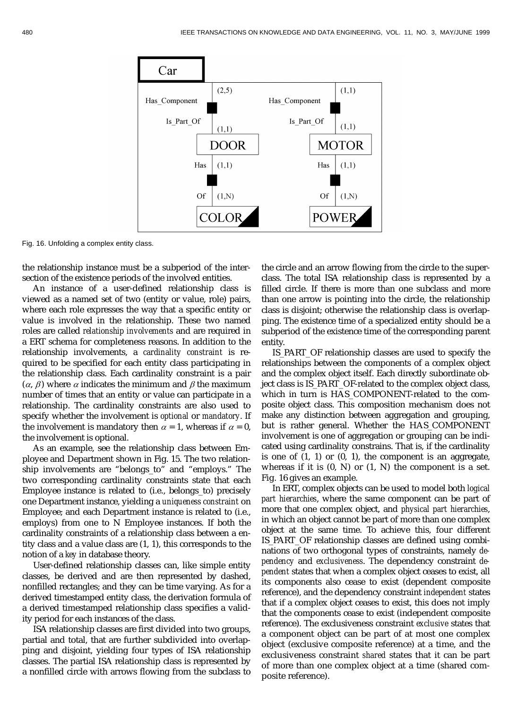

Fig. 16. Unfolding a complex entity class.

the relationship instance must be a subperiod of the intersection of the existence periods of the involved entities.

An instance of a user-defined relationship class is viewed as a named set of two (entity or value, role) pairs, where each role expresses the way that a specific entity or value is involved in the relationship. These two named roles are called *relationship involvements* and are required in a ERT schema for completeness reasons. In addition to the relationship involvements, a *cardinality constraint* is required to be specified for each entity class participating in the relationship class. Each cardinality constraint is a pair  $(\alpha, \beta)$  where  $\alpha$  indicates the minimum and  $\beta$  the maximum number of times that an entity or value can participate in a relationship. The cardinality constraints are also used to specify whether the involvement is *optional* or *mandatory*. If the involvement is mandatory then  $\alpha = 1$ , whereas if  $\alpha = 0$ , the involvement is optional.

As an example, see the relationship class between Employee and Department shown in Fig. 15. The two relationship involvements are "belongs\_to" and "employs." The two corresponding cardinality constraints state that each Employee instance is related to (i.e., belongs\_to) precisely one Department instance, yielding a *uniqueness constraint* on Employee; and each Department instance is related to (i.e., employs) from one to N Employee instances. If both the cardinality constraints of a relationship class between a entity class and a value class are (1, 1), this corresponds to the notion of a *key* in database theory.

User-defined relationship classes can, like simple entity classes, be derived and are then represented by dashed, nonfilled rectangles; and they can be time varying. As for a derived timestamped entity class, the derivation formula of a derived timestamped relationship class specifies a validity period for each instances of the class.

ISA relationship classes are first divided into two groups, partial and total, that are further subdivided into overlapping and disjoint, yielding four types of ISA relationship classes. The partial ISA relationship class is represented by a nonfilled circle with arrows flowing from the subclass to the circle and an arrow flowing from the circle to the superclass. The total ISA relationship class is represented by a filled circle. If there is more than one subclass and more than one arrow is pointing into the circle, the relationship class is disjoint; otherwise the relationship class is overlapping. The existence time of a specialized entity should be a subperiod of the existence time of the corresponding parent entity.

IS\_PART\_OF relationship classes are used to specify the relationships between the components of a complex object and the complex object itself. Each directly subordinate object class is IS\_PART\_OF-related to the complex object class, which in turn is HAS\_COMPONENT-related to the composite object class. This composition mechanism does not make any distinction between aggregation and grouping, but is rather general. Whether the HAS\_COMPONENT involvement is one of aggregation or grouping can be indicated using cardinality constrains. That is, if the cardinality is one of  $(1, 1)$  or  $(0, 1)$ , the component is an aggregate, whereas if it is  $(0, N)$  or  $(1, N)$  the component is a set. Fig. 16 gives an example.

In ERT, complex objects can be used to model both *logical part hierarchies*, where the same component can be part of more that one complex object, and *physical part hierarchies*, in which an object cannot be part of more than one complex object at the same time. To achieve this, four different IS\_PART\_OF relationship classes are defined using combinations of two orthogonal types of constraints, namely *dependency* and *exclusiveness*. The dependency constraint *dependent* states that when a complex object ceases to exist, all its components also cease to exist (dependent composite reference), and the dependency constraint *independent* states that if a complex object ceases to exist, this does not imply that the components cease to exist (independent composite reference). The exclusiveness constraint *exclusive* states that a component object can be part of at most one complex object (exclusive composite reference) at a time, and the exclusiveness constraint *shared* states that it can be part of more than one complex object at a time (shared composite reference).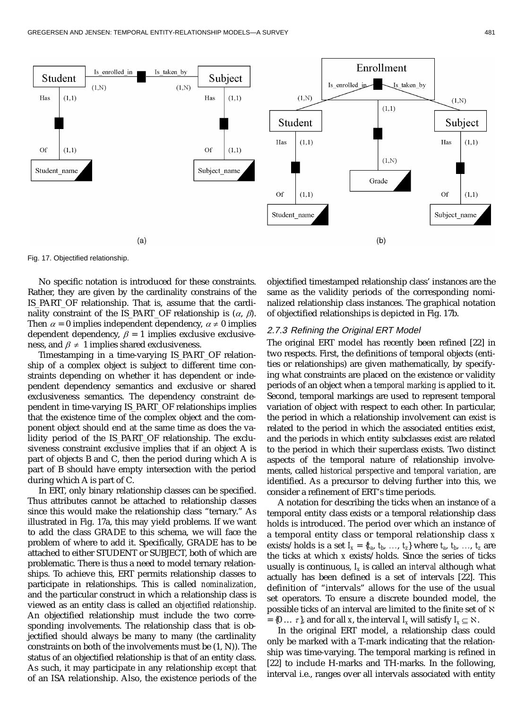

Fig. 17. Objectified relationship.

No specific notation is introduced for these constraints. Rather, they are given by the cardinality constrains of the IS\_PART\_OF relationship. That is, assume that the cardinality constraint of the IS\_PART\_OF relationship is  $(\alpha, \beta)$ . Then  $\alpha = 0$  implies independent dependency,  $\alpha \neq 0$  implies dependent dependency,  $\beta = 1$  implies exclusive exclusiveness, and  $\beta \neq 1$  implies shared exclusiveness.

Timestamping in a time-varying IS\_PART\_OF relationship of a complex object is subject to different time constraints depending on whether it has dependent or independent dependency semantics and exclusive or shared exclusiveness semantics. The dependency constraint dependent in time-varying IS\_PART\_OF relationships implies that the existence time of the complex object and the component object should end at the same time as does the validity period of the IS\_PART\_OF relationship. The exclusiveness constraint exclusive implies that if an object A is part of objects B and C, then the period during which A is part of B should have empty intersection with the period during which A is part of C.

In ERT, only binary relationship classes can be specified. Thus attributes cannot be attached to relationship classes since this would make the relationship class "ternary." As illustrated in Fig. 17a, this may yield problems. If we want to add the class GRADE to this schema, we will face the problem of where to add it. Specifically, GRADE has to be attached to either STUDENT or SUBJECT, both of which are problematic. There is thus a need to model ternary relationships. To achieve this, ERT permits relationship classes to participate in relationships. This is called *nominalization*, and the particular construct in which a relationship class is viewed as an entity class is called an *objectified relationship*. An objectified relationship must include the two corresponding involvements. The relationship class that is objectified should always be many to many (the cardinality constraints on both of the involvements must be (1, N)). The status of an objectified relationship is that of an entity class. As such, it may participate in any relationship *except* that of an ISA relationship. Also, the existence periods of the

objectified timestamped relationship class' instances are the same as the validity periods of the corresponding nominalized relationship class instances. The graphical notation of objectified relationships is depicted in Fig. 17b.

#### 2.7.3 Refining the Original ERT Model

The original ERT model has recently been refined [22] in two respects. First, the definitions of temporal objects (entities or relationships) are given mathematically, by specifying what constraints are placed on the existence or validity periods of an object when a *temporal marking* is applied to it. Second, temporal markings are used to represent temporal variation of object with respect to each other. In particular, the period in which a relationship involvement can exist is related to the period in which the associated entities exist, and the periods in which entity subclasses exist are related to the period in which their superclass exists. Two distinct aspects of the temporal nature of relationship involvements, called *historical perspective* and *temporal variation*, are identified. As a precursor to delving further into this, we consider a refinement of ERT's time periods.

A notation for describing the ticks when an instance of a temporal entity class exists or a temporal relationship class holds is introduced. The period over which an instance of a temporal entity class or temporal relationship class *x* exists/holds is a set  $I_x = \{t_a, t_b, \ldots, t_z\}$  where  $t_a, t_b, \ldots, t_z$  are the ticks at which *x* exists/holds. Since the series of ticks usually is continuous, *Ix* is called an *interval* although what actually has been defined is a set of intervals [22]. This definition of "intervals" allows for the use of the usual set operators. To ensure a discrete bounded model, the possible ticks of an interval are limited to the finite set of  $\aleph$  $= \{0 \ldots \tau\}$ , and for all *x*, the interval *I<sub>x</sub>* will satisfy  $I_x \subseteq \aleph$ .

In the original ERT model, a relationship class could only be marked with a T-mark indicating that the relationship was time-varying. The temporal marking is refined in [22] to include H-marks and TH-marks. In the following, interval i.e., ranges over all intervals associated with entity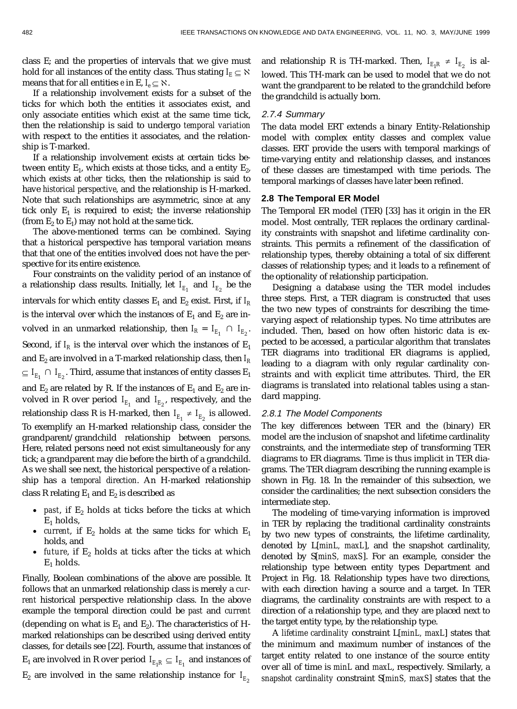class E; and the properties of intervals that we give must hold for all instances of the entity class. Thus stating  $I_E \subseteq \aleph$ means that for all entities *e* in E,  $I_e \subseteq \aleph$ .

If a relationship involvement exists for a subset of the ticks for which both the entities it associates exist, and only associate entities which exist at the same time tick, then the relationship is said to undergo *temporal variation* with respect to the entities it associates, and the relationship is T-marked.

If a relationship involvement exists at certain ticks between entity  $E_1$ , which exists at those ticks, and a entity  $E_2$ , which exists at *other* ticks, then the relationship is said to have *historical perspective*, and the relationship is H-marked. Note that such relationships are asymmetric, since at any tick only  $E_1$  is required to exist; the inverse relationship (from  $E_2$  to  $E_1$ ) may not hold at the same tick.

The above-mentioned terms can be combined. Saying that a historical perspective has temporal variation means that that one of the entities involved does not have the perspective for its entire existence.

Four constraints on the validity period of an instance of a relationship class results. Initially, let  $I_{E_1}$  and  $I_{E_2}$  be the intervals for which entity classes  $E_1$  and  $E_2$  exist. First, if  $I_R$ is the interval over which the instances of  $E_1$  and  $E_2$  are involved in an unmarked relationship, then  $I_R = I_{E_1} \cap I_{E_2}$ . Second, if  $I_R$  is the interval over which the instances of  $E_1$ and  $E_2$  are involved in a T-marked relationship class, then  $I_R$  $\subseteq I_{E_1} \,\cap\, I_{E_2}.$  Third, assume that instances of entity classes  $\text{E}_1$ and  $E_2$  are related by R. If the instances of  $E_1$  and  $E_2$  are involved in R over period  $I_{E_1}$  and  $I_{E_2}$ , respectively, and the relationship class R is H-marked, then  $I_{E_1} \neq I_{E_2}$  is allowed. To exemplify an H-marked relationship class, consider the grandparent/grandchild relationship between persons. Here, related persons need not exist simultaneously for any tick; a grandparent may die before the birth of a grandchild. As we shall see next, the historical perspective of a relationship has a *temporal direction*. An H-marked relationship class R relating  $E_1$  and  $E_2$  is described as

- *past*, if  $E_2$  holds at ticks before the ticks at which  $E_1$  holds,
- *current*, if  $E_2$  holds at the same ticks for which  $E_1$ holds, and
- *future*, if  $E_2$  holds at ticks after the ticks at which  $E_1$  holds.

Finally, Boolean combinations of the above are possible. It follows that an unmarked relationship class is merely a *current* historical perspective relationship class. In the above example the temporal direction could be *past* and *current* (depending on what is  $E_1$  and  $E_2$ ). The characteristics of Hmarked relationships can be described using derived entity classes, for details see [22]. Fourth, assume that instances of  $\mathrm{E_{1}}$  are involved in R over period  $I_{E_{1}R}\subseteq I_{E_{1}}$  and instances of  $E_2$  are involved in the same relationship instance for  $I_{E_2}$ 

and relationship R is TH-marked. Then,  $I_{E_1R} \neq I_{E_2}$  is allowed. This TH-mark can be used to model that we do not want the grandparent to be related to the grandchild before the grandchild is actually born.

# 2.7.4 Summary

The data model ERT extends a binary Entity-Relationship model with complex entity classes and complex value classes. ERT provide the users with temporal markings of time-varying entity and relationship classes, and instances of these classes are timestamped with time periods. The temporal markings of classes have later been refined.

# **2.8 The Temporal ER Model**

The Temporal ER model (TER) [33] has it origin in the ER model. Most centrally, TER replaces the ordinary cardinality constraints with snapshot and lifetime cardinality constraints. This permits a refinement of the classification of relationship types, thereby obtaining a total of six different classes of relationship types; and it leads to a refinement of the optionality of relationship participation.

Designing a database using the TER model includes three steps. First, a TER diagram is constructed that uses the two new types of constraints for describing the timevarying aspect of relationship types. No time attributes are included. Then, based on how often historic data is expected to be accessed, a particular algorithm that translates TER diagrams into traditional ER diagrams is applied, leading to a diagram with only regular cardinality constraints and with explicit time attributes. Third, the ER diagrams is translated into relational tables using a standard mapping.

## 2.8.1 The Model Components

The key differences between TER and the (binary) ER model are the inclusion of snapshot and lifetime cardinality constraints, and the intermediate step of transforming TER diagrams to ER diagrams. Time is thus implicit in TER diagrams. The TER diagram describing the running example is shown in Fig. 18. In the remainder of this subsection, we consider the cardinalities; the next subsection considers the intermediate step.

The modeling of time-varying information is improved in TER by replacing the traditional cardinality constraints by two new types of constraints, the lifetime cardinality, denoted by L[*minL, maxL*], and the snapshot cardinality, denoted by S[*minS, maxS*]. For an example, consider the relationship type between entity types Department and Project in Fig. 18. Relationship types have two directions, with each direction having a source and a target. In TER diagrams, the cardinality constraints are with respect to a direction of a relationship type, and they are placed next to the target entity type, by the relationship type.

A *lifetime cardinality* constraint L[*minL, maxL*] states that the minimum and maximum number of instances of the target entity related to one instance of the source entity over all of time is *minL* and *maxL*, respectively. Similarly, a *snapshot cardinality* constraint S[*minS, maxS*] states that the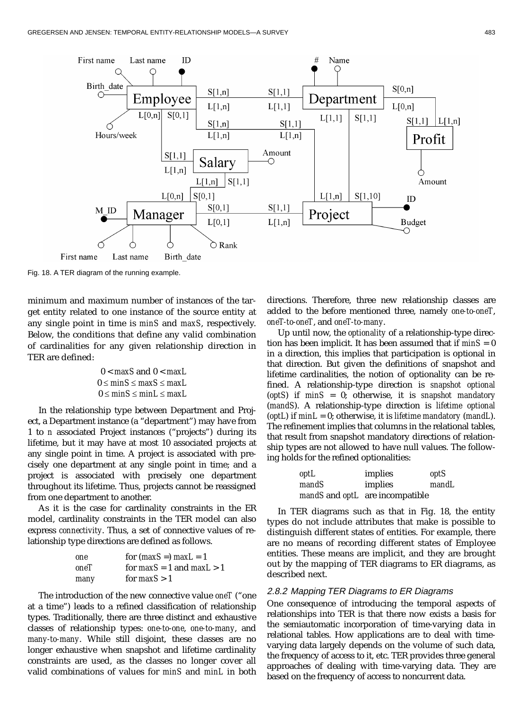

Fig. 18. A TER diagram of the running example.

minimum and maximum number of instances of the target entity related to one instance of the source entity at any single point in time is *minS* and *maxS*, respectively. Below, the conditions that define any valid combination of cardinalities for any given relationship direction in TER are defined:

$$
0 < \max S \text{ and } 0 < \max L
$$
\n
$$
0 \le \min S \le \max S \le \max L
$$
\n
$$
0 \le \min S \le \min L \le \max L
$$

In the relationship type between Department and Project, a Department instance (a "department") may have from 1 to *n* associated Project instances ("projects") during its lifetime, but it may have at most 10 associated projects at any single point in time. A project is associated with precisely one department at any single point in time; and a project is associated with precisely one department throughout its lifetime. Thus, projects cannot be reassigned from one department to another.

As it is the case for cardinality constraints in the ER model, cardinality constraints in the TER model can also express *connectivity*. Thus, a set of connective values of relationship type directions are defined as follows.

| one  | for $(maxS =)$ max $L = 1$    |
|------|-------------------------------|
| oneT | for $maxS = 1$ and $maxL > 1$ |
| many | for $maxS > 1$                |

The introduction of the new connective value *oneT* ("one at a time") leads to a refined classification of relationship types. Traditionally, there are three distinct and exhaustive classes of relationship types: *one-to-one*, *one-to-many*, and *many-to-many*. While still disjoint, these classes are no longer exhaustive when snapshot and lifetime cardinality constraints are used, as the classes no longer cover all valid combinations of values for *minS* and *minL* in both directions. Therefore, three new relationship classes are added to the before mentioned three, namely *one-to-oneT*, *oneT-to-oneT*, and *oneT-to-many*.

Up until now, the *optionality* of a relationship-type direction has been implicit. It has been assumed that if *minS* = 0 in a direction, this implies that participation is optional in that direction. But given the definitions of snapshot and lifetime cardinalities, the notion of optionality can be refined. A relationship-type direction is *snapshot optional* (*optS*) if *minS* = 0; otherwise, it is *snapshot mandatory* (*mandS*). A relationship-type direction is *lifetime optional* (*optL*) if *minL* = 0; otherwise, it is *lifetime mandatory* (*mandL*). The refinement implies that columns in the relational tables, that result from snapshot mandatory directions of relationship types are not allowed to have null values. The following holds for the refined optionalities:

| optL  | implies                                | optS  |
|-------|----------------------------------------|-------|
| mandS | implies                                | mandL |
|       | mandS and <i>optL</i> are incompatible |       |

In TER diagrams such as that in Fig. 18, the entity types do not include attributes that make is possible to distinguish different states of entities. For example, there are no means of recording different states of Employee entities. These means are implicit, and they are brought out by the mapping of TER diagrams to ER diagrams, as described next.

# 2.8.2 Mapping TER Diagrams to ER Diagrams

One consequence of introducing the temporal aspects of relationships into TER is that there now exists a basis for the semiautomatic incorporation of time-varying data in relational tables. How applications are to deal with timevarying data largely depends on the volume of such data, the frequency of access to it, etc. TER provides three general approaches of dealing with time-varying data. They are based on the frequency of access to noncurrent data.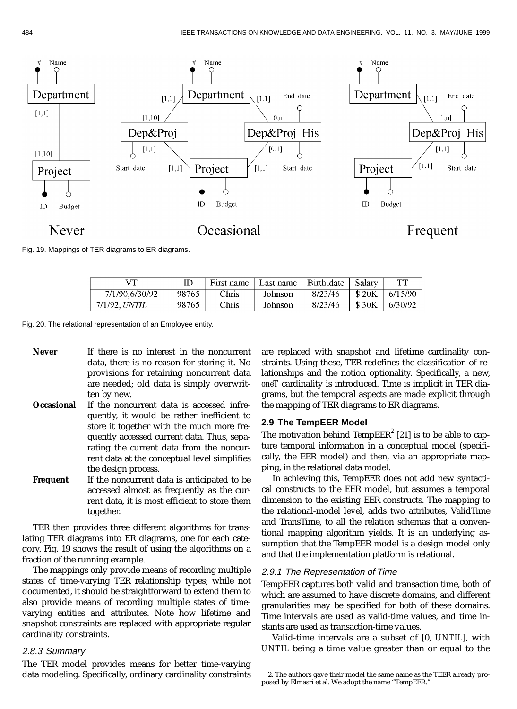

Fig. 19. Mappings of TER diagrams to ER diagrams.

| vπ             |       | First name | Last name | Birth_date | Salarv       | TT      |
|----------------|-------|------------|-----------|------------|--------------|---------|
| 7/1/90.6/30/92 | 98765 | Chris      | Johnson   | 8/23/46    | <b>\$20K</b> | 6/15/90 |
| 7/1/92. UNTIL  | 98765 | Chris      | Johnson   | 8/23/46    | \$30K        | 6/30/92 |

Fig. 20. The relational representation of an Employee entity.

Never If there is no interest in the noncurrent data, there is no reason for storing it. No provisions for retaining noncurrent data are needed; old data is simply overwritten by new.

- **Occasional** If the noncurrent data is accessed infrequently, it would be rather inefficient to store it together with the much more frequently accessed current data. Thus, separating the current data from the noncurrent data at the conceptual level simplifies the design process.
- **Frequent** If the noncurrent data is anticipated to be accessed almost as frequently as the current data, it is most efficient to store them together.

TER then provides three different algorithms for translating TER diagrams into ER diagrams, one for each category. Fig. 19 shows the result of using the algorithms on a fraction of the running example.

The mappings only provide means of recording multiple states of time-varying TER relationship types; while not documented, it should be straightforward to extend them to also provide means of recording multiple states of timevarying entities and attributes. Note how lifetime and snapshot constraints are replaced with appropriate regular cardinality constraints.

#### 2.8.3 Summary

The TER model provides means for better time-varying data modeling. Specifically, ordinary cardinality constraints are replaced with snapshot and lifetime cardinality constraints. Using these, TER redefines the classification of relationships and the notion optionality. Specifically, a new, *oneT* cardinality is introduced. Time is implicit in TER diagrams, but the temporal aspects are made explicit through the mapping of TER diagrams to ER diagrams.

# **2.9 The TempEER Model**

The motivation behind Temp $\text{EER}^2$  [21] is to be able to capture temporal information in a conceptual model (specifically, the EER model) and then, via an appropriate mapping, in the relational data model.

In achieving this, TempEER does not add new syntactical constructs to the EER model, but assumes a temporal dimension to the existing EER constructs. The mapping to the relational-model level, adds two attributes, ValidTime and TransTime, to all the relation schemas that a conventional mapping algorithm yields. It is an underlying assumption that the TempEER model is a design model only and that the implementation platform is relational.

# 2.9.1 The Representation of Time

TempEER captures both valid and transaction time, both of which are assumed to have discrete domains, and different granularities may be specified for both of these domains. Time intervals are used as valid-time values, and time instants are used as transaction-time values.

Valid-time intervals are a subset of [0, *UNTIL*], with *UNTIL* being a time value greater than or equal to the

<sup>2.</sup> The authors gave their model the same name as the TEER already proposed by Elmasri et al. We adopt the name "TempEER."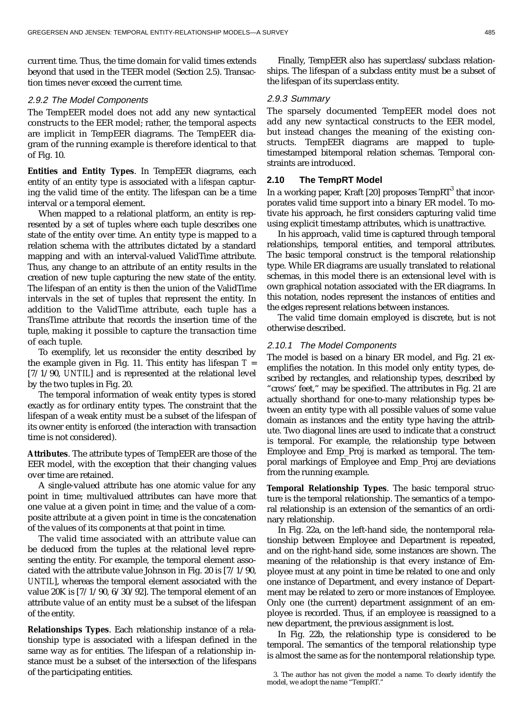current time. Thus, the time domain for valid times extends beyond that used in the TEER model (Section 2.5). Transaction times never exceed the current time.

#### 2.9.2 The Model Components

The TempEER model does not add any new syntactical constructs to the EER model; rather, the temporal aspects are implicit in TempEER diagrams. The TempEER diagram of the running example is therefore identical to that of Fig. 10.

**Entities and Entity Types**. In TempEER diagrams, each entity of an entity type is associated with a *lifespan* capturing the valid time of the entity. The lifespan can be a time interval or a temporal element.

When mapped to a relational platform, an entity is represented by a set of tuples where each tuple describes one state of the entity over time. An entity type is mapped to a relation schema with the attributes dictated by a standard mapping and with an interval-valued ValidTime attribute. Thus, any change to an attribute of an entity results in the creation of new tuple capturing the new state of the entity. The lifespan of an entity is then the union of the ValidTime intervals in the set of tuples that represent the entity. In addition to the ValidTime attribute, each tuple has a TransTime attribute that records the insertion time of the tuple, making it possible to capture the transaction time of each tuple.

To exemplify, let us reconsider the entity described by the example given in Fig. 11. This entity has lifespan  $T =$ [7/1/90, *UNTIL*] and is represented at the relational level by the two tuples in Fig. 20.

The temporal information of weak entity types is stored exactly as for ordinary entity types. The constraint that the lifespan of a weak entity must be a subset of the lifespan of its owner entity is enforced (the interaction with transaction time is not considered).

**Attributes**. The attribute types of TempEER are those of the EER model, with the exception that their changing values over time are retained.

A single-valued attribute has one atomic value for any point in time; multivalued attributes can have more that one value at a given point in time; and the value of a composite attribute at a given point in time is the concatenation of the values of its components at that point in time.

The valid time associated with an attribute value can be deduced from the tuples at the relational level representing the entity. For example, the temporal element associated with the attribute value Johnson in Fig. 20 is [7/1/90, *UNTIL*], whereas the temporal element associated with the value 20K is [7/1/90, 6/30/92]. The temporal element of an attribute value of an entity must be a subset of the lifespan of the entity.

**Relationships Types**. Each relationship instance of a relationship type is associated with a lifespan defined in the same way as for entities. The lifespan of a relationship instance must be a subset of the intersection of the lifespans of the participating entities.

Finally, TempEER also has superclass/subclass relationships. The lifespan of a subclass entity must be a subset of the lifespan of its superclass entity.

### 2.9.3 Summary

The sparsely documented TempEER model does not add any new syntactical constructs to the EER model, but instead changes the meaning of the existing constructs. TempEER diagrams are mapped to tupletimestamped bitemporal relation schemas. Temporal constraints are introduced.

# **2.10 The TempRT Model**

In a working paper, Kraft [20] proposes TempRT $^3$  that incorporates valid time support into a binary ER model. To motivate his approach, he first considers capturing valid time using explicit timestamp attributes, which is unattractive.

In his approach, valid time is captured through temporal relationships, temporal entities, and temporal attributes. The basic temporal construct is the temporal relationship type. While ER diagrams are usually translated to relational schemas, in this model there is an extensional level with is own graphical notation associated with the ER diagrams. In this notation, nodes represent the instances of entities and the edges represent relations between instances.

The valid time domain employed is discrete, but is not otherwise described.

# 2.10.1 The Model Components

The model is based on a binary ER model, and Fig. 21 exemplifies the notation. In this model only entity types, described by rectangles, and relationship types, described by "crows' feet," may be specified. The attributes in Fig. 21 are actually shorthand for one-to-many relationship types between an entity type with all possible values of some value domain as instances and the entity type having the attribute. Two diagonal lines are used to indicate that a construct is temporal. For example, the relationship type between Employee and Emp\_Proj is marked as temporal. The temporal markings of Employee and Emp\_Proj are deviations from the running example.

**Temporal Relationship Types**. The basic temporal structure is the temporal relationship. The semantics of a temporal relationship is an extension of the semantics of an ordinary relationship.

In Fig. 22a, on the left-hand side, the nontemporal relationship between Employee and Department is repeated, and on the right-hand side, some instances are shown. The meaning of the relationship is that every instance of Employee must at any point in time be related to one and only one instance of Department, and every instance of Department may be related to zero or more instances of Employee. Only one (the current) department assignment of an employee is recorded. Thus, if an employee is reassigned to a new department, the previous assignment is lost.

In Fig. 22b, the relationship type is considered to be temporal. The semantics of the temporal relationship type is almost the same as for the nontemporal relationship type.

<sup>3.</sup> The author has not given the model a name. To clearly identify the model, we adopt the name "TempRT."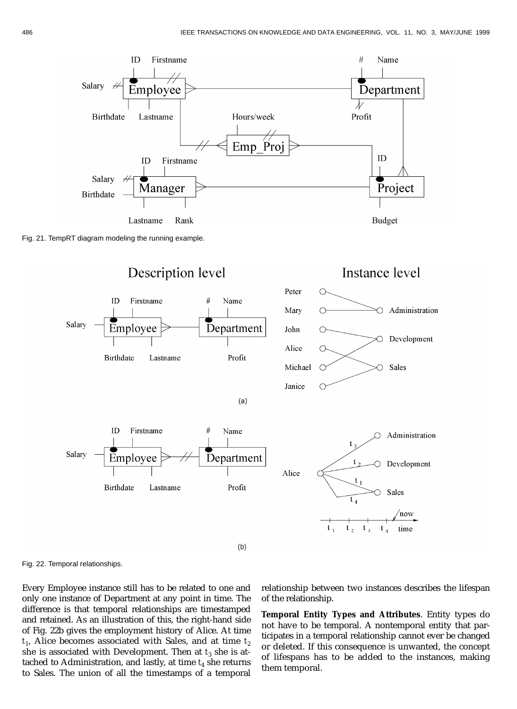

Fig. 21. TempRT diagram modeling the running example.





 $(a)$ 







Fig. 22. Temporal relationships.

Every Employee instance still has to be related to one and only one instance of Department at any point in time. The difference is that temporal relationships are timestamped and retained. As an illustration of this, the right-hand side of Fig. 22b gives the employment history of Alice. At time  $t_1$ , Alice becomes associated with Sales, and at time  $t_2$ she is associated with Development. Then at  $t_3$  she is attached to Administration, and lastly, at time  $t_4$  she returns to Sales. The union of all the timestamps of a temporal

relationship between two instances describes the lifespan of the relationship.

**Temporal Entity Types and Attributes**. Entity types do not have to be temporal. A nontemporal entity that participates in a temporal relationship cannot ever be changed or deleted. If this consequence is unwanted, the concept of lifespans has to be added to the instances, making them temporal.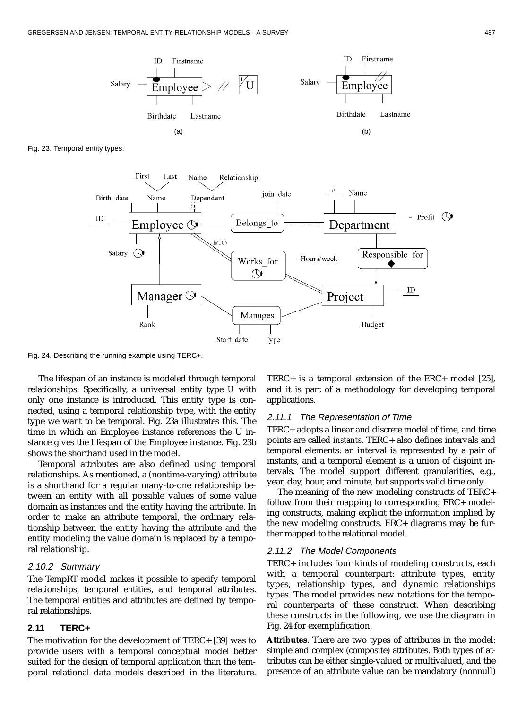

Fig. 23. Temporal entity types.



Fig. 24. Describing the running example using TERC+.

The lifespan of an instance is modeled through temporal relationships. Specifically, a universal entity type *U* with only one instance is introduced. This entity type is connected, using a temporal relationship type, with the entity type we want to be temporal. Fig. 23a illustrates this. The time in which an Employee instance references the U instance gives the lifespan of the Employee instance. Fig. 23b shows the shorthand used in the model.

Temporal attributes are also defined using temporal relationships. As mentioned, a (nontime-varying) attribute is a shorthand for a regular many-to-one relationship between an entity with all possible values of some value domain as instances and the entity having the attribute. In order to make an attribute temporal, the ordinary relationship between the entity having the attribute and the entity modeling the value domain is replaced by a temporal relationship.

#### 2.10.2 Summary

The TempRT model makes it possible to specify temporal relationships, temporal entities, and temporal attributes. The temporal entities and attributes are defined by temporal relationships.

#### **2.11 TERC+**

The motivation for the development of TERC+ [39] was to provide users with a temporal conceptual model better suited for the design of temporal application than the temporal relational data models described in the literature.

TERC+ is a temporal extension of the ERC+ model [25], and it is part of a methodology for developing temporal applications.

#### 2.11.1 The Representation of Time

TERC+ adopts a linear and discrete model of time, and time points are called *instants*. TERC+ also defines intervals and temporal elements: an interval is represented by a pair of instants, and a temporal element is a union of disjoint intervals. The model support different granularities, e.g., year, day, hour, and minute, but supports valid time only.

The meaning of the new modeling constructs of TERC+ follow from their mapping to corresponding ERC+ modeling constructs, making explicit the information implied by the new modeling constructs. ERC+ diagrams may be further mapped to the relational model.

#### 2.11.2 The Model Components

TERC+ includes four kinds of modeling constructs, each with a temporal counterpart: attribute types, entity types, relationship types, and dynamic relationships types. The model provides new notations for the temporal counterparts of these construct. When describing these constructs in the following, we use the diagram in Fig. 24 for exemplification.

**Attributes**. There are two types of attributes in the model: simple and complex (composite) attributes. Both types of attributes can be either single-valued or multivalued, and the presence of an attribute value can be mandatory (nonnull)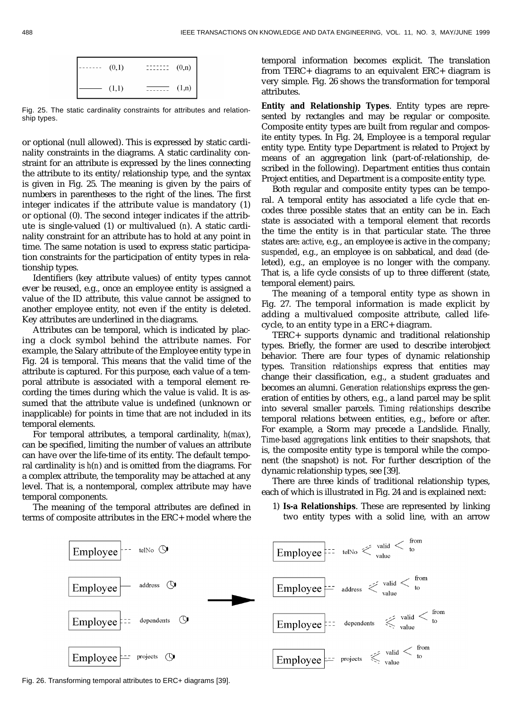

Fig. 25. The static cardinality constraints for attributes and relationship types.

or optional (null allowed). This is expressed by static cardinality constraints in the diagrams. A static cardinality constraint for an attribute is expressed by the lines connecting the attribute to its entity/relationship type, and the syntax is given in Fig. 25. The meaning is given by the pairs of numbers in parentheses to the right of the lines. The first integer indicates if the attribute value is mandatory (1) or optional (0). The second integer indicates if the attribute is single-valued (1) or multivalued (*n*). A static cardinality constraint for an attribute has to hold at any point in time. The same notation is used to express static participation constraints for the participation of entity types in relationship types.

Identifiers (key attribute values) of entity types cannot ever be reused, e.g., once an employee entity is assigned a value of the ID attribute, this value cannot be assigned to another employee entity, not even if the entity is deleted. Key attributes are underlined in the diagrams.

Attributes can be temporal, which is indicated by placing a clock symbol behind the attribute names. For example, the Salary attribute of the Employee entity type in Fig. 24 is temporal. This means that the valid time of the attribute is captured. For this purpose, each value of a temporal attribute is associated with a temporal element recording the times during which the value is valid. It is assumed that the attribute value is undefined (unknown or inapplicable) for points in time that are not included in its temporal elements.

For temporal attributes, a temporal cardinality, *h*(*max*), can be specified, limiting the number of values an attribute can have over the life-time of its entity. The default temporal cardinality is *h*(*n*) and is omitted from the diagrams. For a complex attribute, the temporality may be attached at any level. That is, a nontemporal, complex attribute may have temporal components.

The meaning of the temporal attributes are defined in terms of composite attributes in the ERC+ model where the

temporal information becomes explicit. The translation from TERC+ diagrams to an equivalent ERC+ diagram is very simple. Fig. 26 shows the transformation for temporal attributes.

**Entity and Relationship Types**. Entity types are represented by rectangles and may be regular or composite. Composite entity types are built from regular and composite entity types. In Fig. 24, Employee is a temporal regular entity type. Entity type Department is related to Project by means of an aggregation link (part-of-relationship, described in the following). Department entities thus contain Project entities, and Department is a composite entity type.

Both regular and composite entity types can be temporal. A temporal entity has associated a life cycle that encodes three possible states that an entity can be in. Each state is associated with a temporal element that records the time the entity is in that particular state. The three states are: *active*, e.g., an employee is active in the company; *suspended*, e.g., an employee is on sabbatical, and *dead* (deleted), e.g., an employee is no longer with the company. That is, a life cycle consists of up to three different (state, temporal element) pairs.

The meaning of a temporal entity type as shown in Fig. 27. The temporal information is made explicit by adding a multivalued composite attribute, called lifecycle, to an entity type in a ERC+ diagram.

TERC+ supports dynamic and traditional relationship types. Briefly, the former are used to describe interobject behavior. There are four types of dynamic relationship types. *Transition relationships* express that entities may change their classification, e.g., a student graduates and becomes an alumni. *Generation relationships* express the generation of entities by others, e.g., a land parcel may be split into several smaller parcels. *Timing relationships* describe temporal relations between entities, e.g., before or after. For example, a Storm may precede a Landslide. Finally, *Time-based aggregations* link entities to their snapshots, that is, the composite entity type is temporal while the component (the snapshot) is not. For further description of the dynamic relationship types, see [39].

There are three kinds of traditional relationship types, each of which is illustrated in Fig. 24 and is explained next:

1) **Is-a Relationships**. These are represented by linking two entity types with a solid line, with an arrow



Fig. 26. Transforming temporal attributes to ERC+ diagrams [39].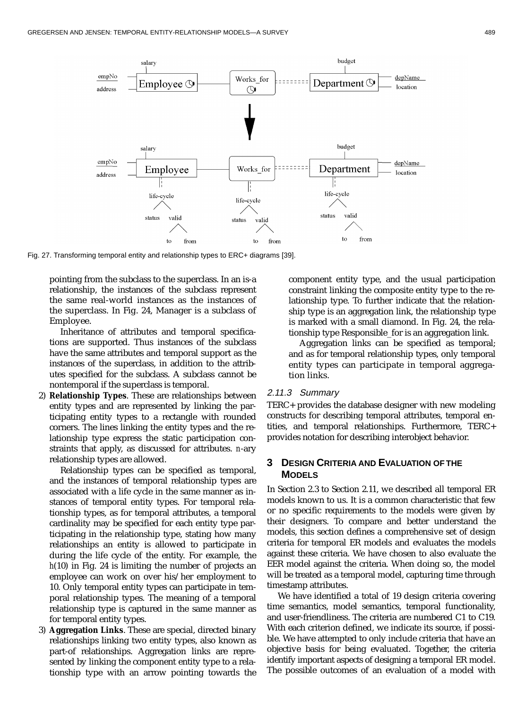

Fig. 27. Transforming temporal entity and relationship types to ERC+ diagrams [39].

pointing from the subclass to the superclass. In an is-a relationship, the instances of the subclass represent the same real-world instances as the instances of the superclass. In Fig. 24, Manager is a subclass of Employee.

Inheritance of attributes and temporal specifications are supported. Thus instances of the subclass have the same attributes and temporal support as the instances of the superclass, in addition to the attributes specified for the subclass. A subclass cannot be nontemporal if the superclass is temporal.

2) **Relationship Types**. These are relationships between entity types and are represented by linking the participating entity types to a rectangle with rounded corners. The lines linking the entity types and the relationship type express the static participation constraints that apply, as discussed for attributes. *n*-ary relationship types are allowed.

Relationship types can be specified as temporal, and the instances of temporal relationship types are associated with a life cycle in the same manner as instances of temporal entity types. For temporal relationship types, as for temporal attributes, a temporal cardinality may be specified for each entity type participating in the relationship type, stating how many relationships an entity is allowed to participate in during the life cycle of the entity. For example, the *h*(10) in Fig. 24 is limiting the number of projects an employee can work on over his/her employment to 10. Only temporal entity types can participate in temporal relationship types. The meaning of a temporal relationship type is captured in the same manner as for temporal entity types.

3) **Aggregation Links**. These are special, directed binary relationships linking two entity types, also known as part-of relationships. Aggregation links are represented by linking the component entity type to a relationship type with an arrow pointing towards the

component entity type, and the usual participation constraint linking the composite entity type to the relationship type. To further indicate that the relationship type is an aggregation link, the relationship type is marked with a small diamond. In Fig. 24, the relationship type Responsible\_for is an aggregation link.

Aggregation links can be specified as temporal; and as for temporal relationship types, only temporal entity types can participate in temporal aggregation links.

# 2.11.3 Summary

TERC+ provides the database designer with new modeling constructs for describing temporal attributes, temporal entities, and temporal relationships. Furthermore, TERC+ provides notation for describing interobject behavior.

# **3 DESIGN CRITERIA AND EVALUATION OF THE MODELS**

In Section 2.3 to Section 2.11, we described all temporal ER models known to us. It is a common characteristic that few or no specific requirements to the models were given by their designers. To compare and better understand the models, this section defines a comprehensive set of design criteria for temporal ER models and evaluates the models against these criteria. We have chosen to also evaluate the EER model against the criteria. When doing so, the model will be treated as a temporal model, capturing time through timestamp attributes.

We have identified a total of 19 design criteria covering time semantics, model semantics, temporal functionality, and user-friendliness. The criteria are numbered C1 to C19. With each criterion defined, we indicate its source, if possible. We have attempted to only include criteria that have an objective basis for being evaluated. Together, the criteria identify important aspects of designing a temporal ER model. The possible outcomes of an evaluation of a model with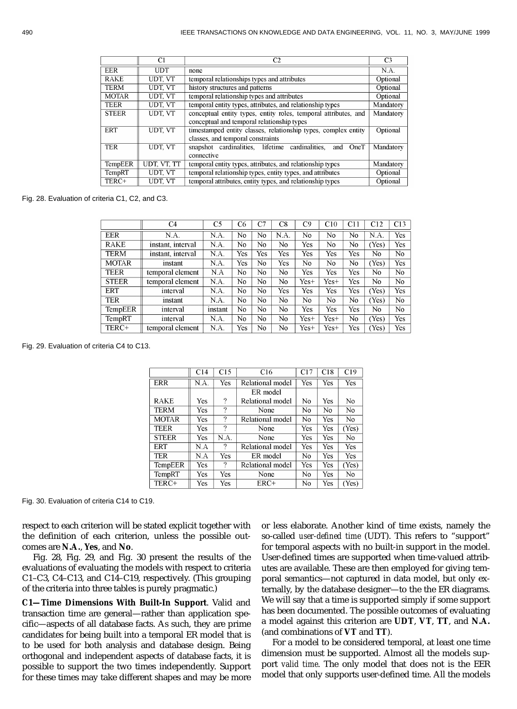|              | C1          | C <sub>2</sub>                                                  | C <sub>3</sub> |
|--------------|-------------|-----------------------------------------------------------------|----------------|
| EER          | <b>UDT</b>  | none                                                            | N.A.           |
| <b>RAKE</b>  | UDT. VT     | temporal relationships types and attributes                     | Optional       |
| <b>TERM</b>  | UDT, VT     | history structures and patterns                                 | Optional       |
| <b>MOTAR</b> | UDT, VT     | temporal relationship types and attributes                      | Optional       |
| <b>TEER</b>  | UDT, VT     | temporal entity types, attributes, and relationship types       | Mandatory      |
| <b>STEER</b> | UDT. VT     | conceptual entity types, entity roles, temporal attributes, and | Mandatory      |
|              |             | conceptual and temporal relationship types                      |                |
| <b>ERT</b>   | UDT. VT     | timestamped entity classes, relationship types, complex entity  | Optional       |
|              |             | classes, and temporal constraints                               |                |
| <b>TER</b>   | UDT, VT     | snapshot cardinalities, lifetime cardinalities,<br>OneT<br>and  | Mandatory      |
|              |             | connective                                                      |                |
| TempEER      | UDT, VT, TT | temporal entity types, attributes, and relationship types       | Mandatory      |
| TempRT       | UDT. VT     | temporal relationship types, entity types, and attributes       | Optional       |
| TERC+        | UDT, VT     | temporal attributes, entity types, and relationship types       | Optional       |

Fig. 28. Evaluation of criteria C1, C2, and C3.

|                | C4                | C5      | C6  | rп  | C8  | C9   | C10  | C11 | C12   | C13 |
|----------------|-------------------|---------|-----|-----|-----|------|------|-----|-------|-----|
| <b>EER</b>     | N.A.              | N.A.    | No  | No  | NA  | No   | No   | No  | N.A   | Yes |
| <b>RAKE</b>    | instant, interval | N.A.    | No  | No  | No  | Yes  | No   | No  | (Yes) | Yes |
| TERM           | instant, interval | N.A.    | Yes | Yes | Yes | Yes  | Yes  | Yes | No    | No  |
| <b>MOTAR</b>   | instant           | N.A.    | Yes | No  | Yes | No   | No   | No  | (Yes) | Yes |
| <b>TEER</b>    | temporal element  | N.A     | No  | No  | No  | Yes  | Yes  | Yes | No    | No  |
| <b>STEER</b>   | temporal element  | N.A.    | No  | No  | No  | Yes+ | Yes+ | Yes | No    | No. |
| ERT            | interval          | N.A.    | No  | No  | Yes | Yes  | Yes  | Yes | (Yes) | Yes |
| TER            | instant           | N.A.    | No  | No  | No  | No   | No   | No  | (Yes) | No  |
| <b>TempEER</b> | interval          | instant | No  | No  | No  | Yes  | Yes  | Yes | No    | No  |
| TempRT         | interval          | N.A.    | No  | No. | No  | Yes+ | Yes+ | No  | (Yes) | Yes |
| TERC+          | temporal element  | N.A.    | Yes | No  | No  | Yes+ | Yes+ | Yes | (Yes) | Yes |

Fig. 29. Evaluation of criteria C4 to C13.

|                | C14  | C15  | C <sub>16</sub>  | C17 | C18 | C19            |
|----------------|------|------|------------------|-----|-----|----------------|
| <b>ERR</b>     | N.A. | Yes  | Relational model | Yes | Yes | Yes            |
|                |      |      | ER model         |     |     |                |
| <b>RAKE</b>    | Yes  | ?    | Relational model | No  | Yes | No             |
| <b>TERM</b>    | Yes  | 9    | None             | No  | No  | No             |
| <b>MOTAR</b>   | Yes  | ?    | Relational model | No  | Yes | No             |
| <b>TEER</b>    | Yes  | 9    | None             | Yes | Yes | (Yes)          |
| <b>STEER</b>   | Yes  | N.A. | None             | Yes | Yes | No             |
| <b>ERT</b>     | N.A  | 9    | Relational model | Yes | Yes | Yes            |
| <b>TER</b>     | N.A  | Yes  | ER model         | No  | Yes | Yes            |
| <b>TempEER</b> | Yes. | 9    | Relational model | Yes | Yes | (Yes)          |
| TempRT         | Yes  | Yes  | None             | No  | Yes | N <sub>0</sub> |
| TERC+          | Yes  | Yes  | ERC+             | No  | Yes | (Yes)          |

Fig. 30. Evaluation of criteria C14 to C19.

respect to each criterion will be stated explicit together with the definition of each criterion, unless the possible outcomes are **N.A.**, **Yes**, and **No**.

Fig. 28, Fig. 29, and Fig. 30 present the results of the evaluations of evaluating the models with respect to criteria C1–C3, C4–C13, and C14–C19, respectively. (This grouping of the criteria into three tables is purely pragmatic.)

**C1—Time Dimensions With Built-In Support**. Valid and transaction time are general—rather than application specific—aspects of all database facts. As such, they are prime candidates for being built into a temporal ER model that is to be used for both analysis and database design. Being orthogonal and independent aspects of database facts, it is possible to support the two times independently. Support for these times may take different shapes and may be more

or less elaborate. Another kind of time exists, namely the so-called *user-defined time* (UDT). This refers to "support" for temporal aspects with no built-in support in the model. User-defined times are supported when time-valued attributes are available. These are then employed for giving temporal semantics—not captured in data model, but only externally, by the database designer—to the the ER diagrams. We will say that a time is supported simply if some support has been documented. The possible outcomes of evaluating a model against this criterion are **UDT**, **VT**, **TT**, and **N.A.** (and combinations of **VT** and **TT**).

For a model to be considered temporal, at least one time dimension must be supported. Almost all the models support *valid time*. The only model that does not is the EER model that only supports user-defined time. All the models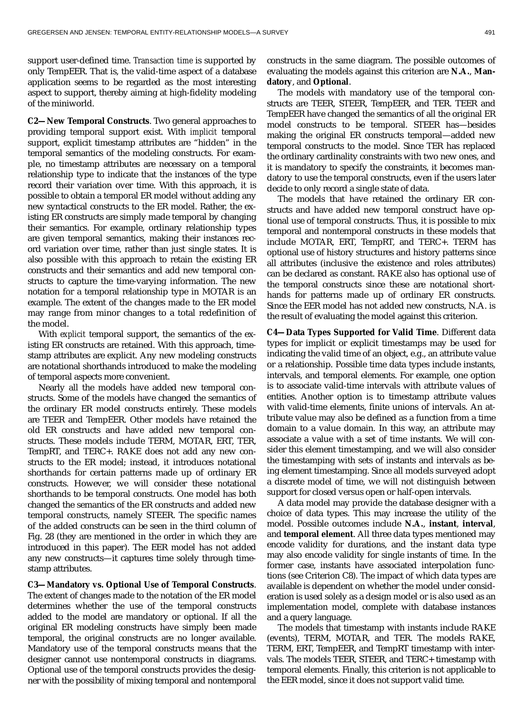support user-defined time. *Transaction time* is supported by only TempEER. That is, the valid-time aspect of a database application seems to be regarded as the most interesting aspect to support, thereby aiming at high-fidelity modeling of the miniworld.

**C2—New Temporal Constructs**. Two general approaches to providing temporal support exist. With *implicit* temporal support, explicit timestamp attributes are "hidden" in the temporal semantics of the modeling constructs. For example, no timestamp attributes are necessary on a temporal relationship type to indicate that the instances of the type record their variation over time. With this approach, it is possible to obtain a temporal ER model without adding any new syntactical constructs to the ER model. Rather, the existing ER constructs are simply made temporal by changing their semantics. For example, ordinary relationship types are given temporal semantics, making their instances record variation over time, rather than just single states. It is also possible with this approach to retain the existing ER constructs and their semantics and add new temporal constructs to capture the time-varying information. The new notation for a temporal relationship type in MOTAR is an example. The extent of the changes made to the ER model may range from minor changes to a total redefinition of the model.

With *explicit* temporal support, the semantics of the existing ER constructs are retained. With this approach, timestamp attributes are explicit. Any new modeling constructs are notational shorthands introduced to make the modeling of temporal aspects more convenient.

Nearly all the models have added new temporal constructs. Some of the models have changed the semantics of the ordinary ER model constructs entirely. These models are TEER and TempEER. Other models have retained the old ER constructs and have added new temporal constructs. These models include TERM, MOTAR, ERT, TER, TempRT, and TERC+. RAKE does not add any new constructs to the ER model; instead, it introduces notational shorthands for certain patterns made up of ordinary ER constructs. However, we will consider these notational shorthands to be temporal constructs. One model has both changed the semantics of the ER constructs and added new temporal constructs, namely STEER. The specific names of the added constructs can be seen in the third column of Fig. 28 (they are mentioned in the order in which they are introduced in this paper). The EER model has not added any new constructs—it captures time solely through timestamp attributes.

**C3—Mandatory vs. Optional Use of Temporal Constructs**. The extent of changes made to the notation of the ER model determines whether the use of the temporal constructs added to the model are mandatory or optional. If all the original ER modeling constructs have simply been made temporal, the original constructs are no longer available. Mandatory use of the temporal constructs means that the designer cannot use nontemporal constructs in diagrams. Optional use of the temporal constructs provides the designer with the possibility of mixing temporal and nontemporal

constructs in the same diagram. The possible outcomes of evaluating the models against this criterion are **N.A.**, **Mandatory**, and **Optional**.

The models with mandatory use of the temporal constructs are TEER, STEER, TempEER, and TER. TEER and TempEER have changed the semantics of all the original ER model constructs to be temporal. STEER has—besides making the original ER constructs temporal—added new temporal constructs to the model. Since TER has replaced the ordinary cardinality constraints with two new ones, and it is mandatory to specify the constraints, it becomes mandatory to use the temporal constructs, even if the users later decide to only record a single state of data.

The models that have retained the ordinary ER constructs and have added new temporal construct have optional use of temporal constructs. Thus, it is possible to mix temporal and nontemporal constructs in these models that include MOTAR, ERT, TempRT, and TERC+. TERM has optional use of history structures and history patterns since all attributes (inclusive the existence and roles attributes) can be declared as constant. RAKE also has optional use of the temporal constructs since these are notational shorthands for patterns made up of ordinary ER constructs. Since the EER model has not added new constructs, N.A. is the result of evaluating the model against this criterion.

**C4—Data Types Supported for Valid Time**. Different data types for implicit or explicit timestamps may be used for indicating the valid time of an object, e.g., an attribute value or a relationship. Possible time data types include instants, intervals, and temporal elements. For example, one option is to associate valid-time intervals with attribute values of entities. Another option is to timestamp attribute values with valid-time elements, finite unions of intervals. An attribute value may also be defined as a function from a time domain to a value domain. In this way, an attribute may associate a value with a set of time instants. We will consider this element timestamping, and we will also consider the timestamping with sets of instants and intervals as being element timestamping. Since all models surveyed adopt a discrete model of time, we will not distinguish between support for closed versus open or half-open intervals.

A data model may provide the database designer with a choice of data types. This may increase the utility of the model. Possible outcomes include **N.A.**, **instant**, **interval**, and **temporal element**. All three data types mentioned may encode validity for durations, and the instant data type may also encode validity for single instants of time. In the former case, instants have associated interpolation functions (see Criterion C8). The impact of which data types are available is dependent on whether the model under consideration is used solely as a design model or is also used as an implementation model, complete with database instances and a query language.

The models that timestamp with instants include RAKE (events), TERM, MOTAR, and TER. The models RAKE, TERM, ERT, TempEER, and TempRT timestamp with intervals. The models TEER, STEER, and TERC+ timestamp with temporal elements. Finally, this criterion is not applicable to the EER model, since it does not support valid time.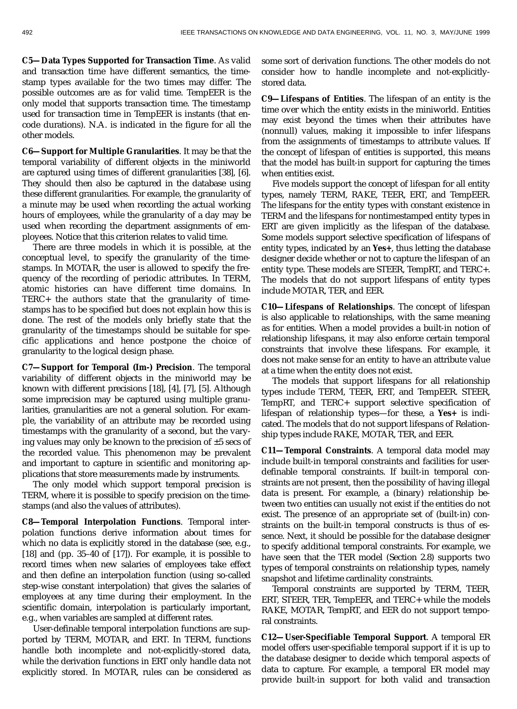**C5—Data Types Supported for Transaction Time**. As valid and transaction time have different semantics, the timestamp types available for the two times may differ. The possible outcomes are as for valid time. TempEER is the only model that supports transaction time. The timestamp used for transaction time in TempEER is instants (that encode durations). N.A. is indicated in the figure for all the other models.

**C6—Support for Multiple Granularities**. It may be that the temporal variability of different objects in the miniworld are captured using times of different granularities [38], [6]. They should then also be captured in the database using these different granularities. For example, the granularity of a minute may be used when recording the actual working hours of employees, while the granularity of a day may be used when recording the department assignments of employees. Notice that this criterion relates to valid time.

There are three models in which it is possible, at the conceptual level, to specify the granularity of the timestamps. In MOTAR, the user is allowed to specify the frequency of the recording of periodic attributes. In TERM, atomic histories can have different time domains. In TERC+ the authors state that the granularity of timestamps has to be specified but does not explain how this is done. The rest of the models only briefly state that the granularity of the timestamps should be suitable for specific applications and hence postpone the choice of granularity to the logical design phase.

**C7—Support for Temporal (Im-) Precision**. The temporal variability of different objects in the miniworld may be known with different precisions [18], [4], [7], [5]. Although some imprecision may be captured using multiple granularities, granularities are not a general solution. For example, the variability of an attribute may be recorded using timestamps with the granularity of a second, but the varying values may only be known to the precision of ±5 secs of the recorded value. This phenomenon may be prevalent and important to capture in scientific and monitoring applications that store measurements made by instruments.

The only model which support temporal precision is TERM, where it is possible to specify precision on the timestamps (and also the values of attributes).

**C8—Temporal Interpolation Functions**. Temporal interpolation functions derive information about times for which no data is explicitly stored in the database (see, e.g., [18] and (pp. 35–40 of [17]). For example, it is possible to record times when new salaries of employees take effect and then define an interpolation function (using so-called step-wise constant interpolation) that gives the salaries of employees at any time during their employment. In the scientific domain, interpolation is particularly important, e.g., when variables are sampled at different rates.

User-definable temporal interpolation functions are supported by TERM, MOTAR, and ERT. In TERM, functions handle both incomplete and not-explicitly-stored data, while the derivation functions in ERT only handle data not explicitly stored. In MOTAR, rules can be considered as

some sort of derivation functions. The other models do not consider how to handle incomplete and not-explicitlystored data.

**C9—Lifespans of Entities**. The lifespan of an entity is the time over which the entity exists in the miniworld. Entities may exist beyond the times when their attributes have (nonnull) values, making it impossible to infer lifespans from the assignments of timestamps to attribute values. If the concept of lifespan of entities is supported, this means that the model has built-in support for capturing the times when entities exist.

Five models support the concept of lifespan for all entity types, namely TERM, RAKE, TEER, ERT, and TempEER. The lifespans for the entity types with constant existence in TERM and the lifespans for nontimestamped entity types in ERT are given implicitly as the lifespan of the database. Some models support selective specification of lifespans of entity types, indicated by an **Yes+**, thus letting the database designer decide whether or not to capture the lifespan of an entity type. These models are STEER, TempRT, and TERC+. The models that do not support lifespans of entity types include MOTAR, TER, and EER.

**C10—Lifespans of Relationships**. The concept of lifespan is also applicable to relationships, with the same meaning as for entities. When a model provides a built-in notion of relationship lifespans, it may also enforce certain temporal constraints that involve these lifespans. For example, it does not make sense for an entity to have an attribute value at a time when the entity does not exist.

The models that support lifespans for all relationship types include TERM, TEER, ERT, and TempEER. STEER, TempRT, and TERC+ support selective specification of lifespan of relationship types—for these, a **Yes+** is indicated. The models that do not support lifespans of Relationship types include RAKE, MOTAR, TER, and EER.

**C11—Temporal Constraints**. A temporal data model may include built-in temporal constraints and facilities for userdefinable temporal constraints. If built-in temporal constraints are not present, then the possibility of having illegal data is present. For example, a (binary) relationship between two entities can usually not exist if the entities do not exist. The presence of an appropriate set of (built-in) constraints on the built-in temporal constructs is thus of essence. Next, it should be possible for the database designer to specify additional temporal constraints. For example, we have seen that the TER model (Section 2.8) supports two types of temporal constraints on relationship types, namely snapshot and lifetime cardinality constraints.

Temporal constraints are supported by TERM, TEER, ERT, STEER, TER, TempEER, and TERC+ while the models RAKE, MOTAR, TempRT, and EER do not support temporal constraints.

**C12—User-Specifiable Temporal Support**. A temporal ER model offers user-specifiable temporal support if it is up to the database designer to decide which temporal aspects of data to capture. For example, a temporal ER model may provide built-in support for both valid and transaction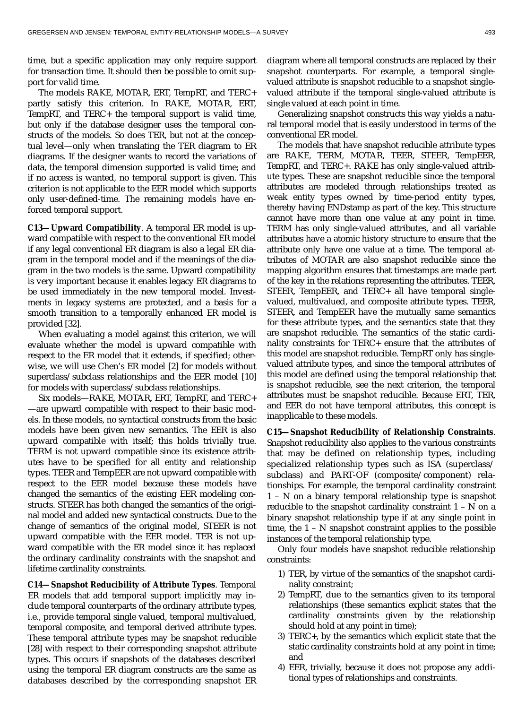time, but a specific application may only require support for transaction time. It should then be possible to omit support for valid time.

The models RAKE, MOTAR, ERT, TempRT, and TERC+ partly satisfy this criterion. In RAKE, MOTAR, ERT, TempRT, and TERC+ the temporal support is valid time, but only if the database designer uses the temporal constructs of the models. So does TER, but not at the conceptual level—only when translating the TER diagram to ER diagrams. If the designer wants to record the variations of data, the temporal dimension supported is valid time; and if no access is wanted, no temporal support is given. This criterion is not applicable to the EER model which supports only user-defined-time. The remaining models have enforced temporal support.

**C13—Upward Compatibility**. A temporal ER model is upward compatible with respect to the conventional ER model if any legal conventional ER diagram is also a legal ER diagram in the temporal model and if the meanings of the diagram in the two models is the same. Upward compatibility is very important because it enables legacy ER diagrams to be used immediately in the new temporal model. Investments in legacy systems are protected, and a basis for a smooth transition to a temporally enhanced ER model is provided [32].

When evaluating a model against this criterion, we will evaluate whether the model is upward compatible with respect to the ER model that it extends, if specified; otherwise, we will use Chen's ER model [2] for models without superclass/subclass relationships and the EER model [10] for models with superclass/subclass relationships.

Six models—RAKE, MOTAR, ERT, TempRT, and TERC+ —are upward compatible with respect to their basic models. In these models, no syntactical constructs from the basic models have been given new semantics. The EER is also upward compatible with itself; this holds trivially true. TERM is not upward compatible since its existence attributes have to be specified for all entity and relationship types. TEER and TempEER are not upward compatible with respect to the EER model because these models have changed the semantics of the existing EER modeling constructs. STEER has both changed the semantics of the original model and added new syntactical constructs. Due to the change of semantics of the original model, STEER is not upward compatible with the EER model. TER is not upward compatible with the ER model since it has replaced the ordinary cardinality constraints with the snapshot and lifetime cardinality constraints.

**C14—Snapshot Reducibility of Attribute Types**. Temporal ER models that add temporal support implicitly may include temporal counterparts of the ordinary attribute types, i.e., provide temporal single valued, temporal multivalued, temporal composite, and temporal derived attribute types. These temporal attribute types may be snapshot reducible [28] with respect to their corresponding snapshot attribute types. This occurs if snapshots of the databases described using the temporal ER diagram constructs are the same as databases described by the corresponding snapshot ER diagram where all temporal constructs are replaced by their snapshot counterparts. For example, a temporal singlevalued attribute is snapshot reducible to a snapshot singlevalued attribute if the temporal single-valued attribute is single valued at each point in time.

Generalizing snapshot constructs this way yields a natural temporal model that is easily understood in terms of the conventional ER model.

The models that have snapshot reducible attribute types are RAKE, TERM, MOTAR, TEER, STEER, TempEER, TempRT, and TERC+. RAKE has only single-valued attribute types. These are snapshot reducible since the temporal attributes are modeled through relationships treated as weak entity types owned by time-period entity types, thereby having ENDstamp as part of the key. This structure cannot have more than one value at any point in time. TERM has only single-valued attributes, and all variable attributes have a atomic history structure to ensure that the attribute only have one value at a time. The temporal attributes of MOTAR are also snapshot reducible since the mapping algorithm ensures that timestamps are made part of the key in the relations representing the attributes. TEER, STEER, TempEER, and TERC+ all have temporal singlevalued, multivalued, and composite attribute types. TEER, STEER, and TempEER have the mutually same semantics for these attribute types, and the semantics state that they are snapshot reducible. The semantics of the static cardinality constraints for TERC+ ensure that the attributes of this model are snapshot reducible. TempRT only has singlevalued attribute types, and since the temporal attributes of this model are defined using the temporal relationship that is snapshot reducible, see the next criterion, the temporal attributes must be snapshot reducible. Because ERT, TER, and EER do not have temporal attributes, this concept is inapplicable to these models.

**C15—Snapshot Reducibility of Relationship Constraints**. Snapshot reducibility also applies to the various constraints that may be defined on relationship types, including specialized relationship types such as ISA (superclass/ subclass) and PART-OF (composite/component) relationships. For example, the temporal cardinality constraint 1 – N on a binary temporal relationship type is snapshot reducible to the snapshot cardinality constraint 1 – N on a binary snapshot relationship type if at any single point in time, the 1 – N snapshot constraint applies to the possible instances of the temporal relationship type.

Only four models have snapshot reducible relationship constraints:

- 1) TER, by virtue of the semantics of the snapshot cardinality constraint;
- 2) TempRT, due to the semantics given to its temporal relationships (these semantics explicit states that the cardinality constraints given by the relationship should hold at any point in time);
- 3) TERC+, by the semantics which explicit state that the static cardinality constraints hold at any point in time; and
- 4) EER, trivially, because it does not propose any additional types of relationships and constraints.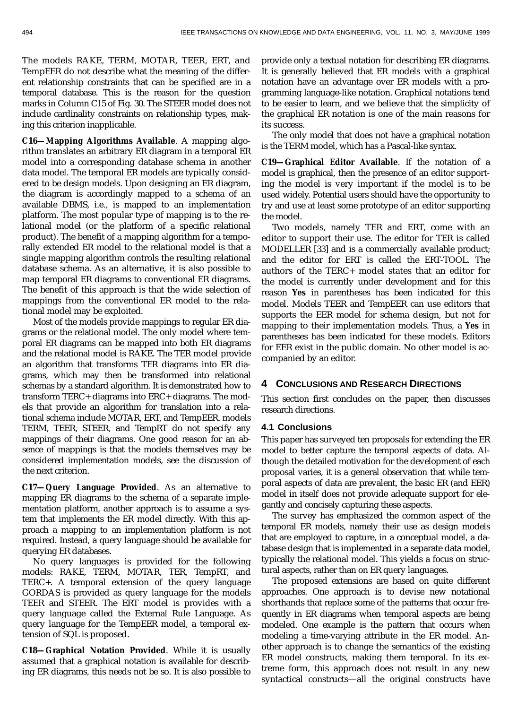The models RAKE, TERM, MOTAR, TEER, ERT, and TempEER do not describe what the meaning of the different relationship constraints that can be specified are in a temporal database. This is the reason for the question marks in Column C15 of Fig. 30. The STEER model does not include cardinality constraints on relationship types, making this criterion inapplicable.

**C16—Mapping Algorithms Available**. A mapping algorithm translates an arbitrary ER diagram in a temporal ER model into a corresponding database schema in another data model. The temporal ER models are typically considered to be design models. Upon designing an ER diagram, the diagram is accordingly mapped to a schema of an available DBMS, i.e., is mapped to an implementation platform. The most popular type of mapping is to the relational model (or the platform of a specific relational product). The benefit of a mapping algorithm for a temporally extended ER model to the relational model is that a single mapping algorithm controls the resulting relational database schema. As an alternative, it is also possible to map temporal ER diagrams to conventional ER diagrams. The benefit of this approach is that the wide selection of mappings from the conventional ER model to the relational model may be exploited.

Most of the models provide mappings to regular ER diagrams or the relational model. The only model where temporal ER diagrams can be mapped into both ER diagrams and the relational model is RAKE. The TER model provide an algorithm that transforms TER diagrams into ER diagrams, which may then be transformed into relational schemas by a standard algorithm. It is demonstrated how to transform TERC+ diagrams into ERC+ diagrams. The models that provide an algorithm for translation into a relational schema include MOTAR, ERT, and TempEER. models TERM, TEER, STEER, and TempRT do not specify any mappings of their diagrams. One good reason for an absence of mappings is that the models themselves may be considered implementation models, see the discussion of the next criterion.

**C17—Query Language Provided**. As an alternative to mapping ER diagrams to the schema of a separate implementation platform, another approach is to assume a system that implements the ER model directly. With this approach a mapping to an implementation platform is not required. Instead, a query language should be available for querying ER databases.

No query languages is provided for the following models: RAKE, TERM, MOTAR, TER, TempRT, and TERC+. A temporal extension of the query language GORDAS is provided as query language for the models TEER and STEER. The ERT model is provides with a query language called the External Rule Language. As query language for the TempEER model, a temporal extension of SQL is proposed.

**C18—Graphical Notation Provided**. While it is usually assumed that a graphical notation is available for describing ER diagrams, this needs not be so. It is also possible to provide only a textual notation for describing ER diagrams. It is generally believed that ER models with a graphical notation have an advantage over ER models with a programming language-like notation. Graphical notations tend to be easier to learn, and we believe that the simplicity of the graphical ER notation is one of the main reasons for its success.

The only model that does not have a graphical notation is the TERM model, which has a Pascal-like syntax.

**C19—Graphical Editor Available**. If the notation of a model is graphical, then the presence of an editor supporting the model is very important if the model is to be used widely. Potential users should have the opportunity to try and use at least some prototype of an editor supporting the model.

Two models, namely TER and ERT, come with an editor to support their use. The editor for TER is called MODELLER [33] and is a commercially available product; and the editor for ERT is called the ERT-TOOL. The authors of the TERC+ model states that an editor for the model is currently under development and for this reason **Yes** in parentheses has been indicated for this model. Models TEER and TempEER can use editors that supports the EER model for schema design, but not for mapping to their implementation models. Thus, a **Yes** in parentheses has been indicated for these models. Editors for EER exist in the public domain. No other model is accompanied by an editor.

# **4 CONCLUSIONS AND RESEARCH DIRECTIONS**

This section first concludes on the paper, then discusses research directions.

#### **4.1 Conclusions**

This paper has surveyed ten proposals for extending the ER model to better capture the temporal aspects of data. Although the detailed motivation for the development of each proposal varies, it is a general observation that while temporal aspects of data are prevalent, the basic ER (and EER) model in itself does not provide adequate support for elegantly and concisely capturing these aspects.

The survey has emphasized the common aspect of the temporal ER models, namely their use as design models that are employed to capture, in a conceptual model, a database design that is implemented in a separate data model, typically the relational model. This yields a focus on structural aspects, rather than on ER query languages.

The proposed extensions are based on quite different approaches. One approach is to devise new notational shorthands that replace some of the patterns that occur frequently in ER diagrams when temporal aspects are being modeled. One example is the pattern that occurs when modeling a time-varying attribute in the ER model. Another approach is to change the semantics of the existing ER model constructs, making them temporal. In its extreme form, this approach does not result in any new syntactical constructs—all the original constructs have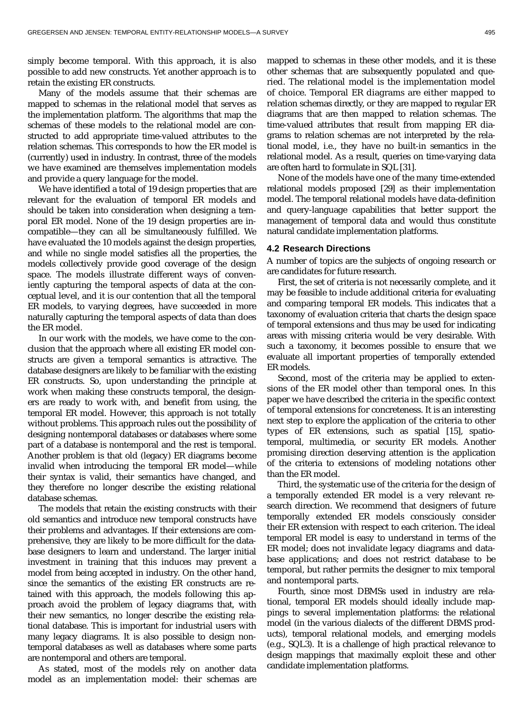simply become temporal. With this approach, it is also possible to add new constructs. Yet another approach is to retain the existing ER constructs.

Many of the models assume that their schemas are mapped to schemas in the relational model that serves as the implementation platform. The algorithms that map the schemas of these models to the relational model are constructed to add appropriate time-valued attributes to the relation schemas. This corresponds to how the ER model is (currently) used in industry. In contrast, three of the models we have examined are themselves implementation models and provide a query language for the model.

We have identified a total of 19 design properties that are relevant for the evaluation of temporal ER models and should be taken into consideration when designing a temporal ER model. None of the 19 design properties are incompatible—they can all be simultaneously fulfilled. We have evaluated the 10 models against the design properties, and while no single model satisfies all the properties, the models collectively provide good coverage of the design space. The models illustrate different ways of conveniently capturing the temporal aspects of data at the conceptual level, and it is our contention that all the temporal ER models, to varying degrees, have succeeded in more naturally capturing the temporal aspects of data than does the ER model.

In our work with the models, we have come to the conclusion that the approach where all existing ER model constructs are given a temporal semantics is attractive. The database designers are likely to be familiar with the existing ER constructs. So, upon understanding the principle at work when making these constructs temporal, the designers are ready to work with, and benefit from using, the temporal ER model. However, this approach is not totally without problems. This approach rules out the possibility of designing nontemporal databases or databases where some part of a database is nontemporal and the rest is temporal. Another problem is that old (legacy) ER diagrams become invalid when introducing the temporal ER model—while their syntax is valid, their semantics have changed, and they therefore no longer describe the existing relational database schemas.

The models that retain the existing constructs with their old semantics and introduce new temporal constructs have their problems and advantages. If their extensions are comprehensive, they are likely to be more difficult for the database designers to learn and understand. The larger initial investment in training that this induces may prevent a model from being accepted in industry. On the other hand, since the semantics of the existing ER constructs are retained with this approach, the models following this approach avoid the problem of legacy diagrams that, with their new semantics, no longer describe the existing relational database. This is important for industrial users with many legacy diagrams. It is also possible to design nontemporal databases as well as databases where some parts are nontemporal and others are temporal.

As stated, most of the models rely on another data model as an implementation model: their schemas are mapped to schemas in these other models, and it is these other schemas that are subsequently populated and queried. The relational model is the implementation model of choice. Temporal ER diagrams are either mapped to relation schemas directly, or they are mapped to regular ER diagrams that are then mapped to relation schemas. The time-valued attributes that result from mapping ER diagrams to relation schemas are not interpreted by the relational model, i.e., they have no built-in semantics in the relational model. As a result, queries on time-varying data are often hard to formulate in SQL [31].

None of the models have one of the many time-extended relational models proposed [29] as their implementation model. The temporal relational models have data-definition and query-language capabilities that better support the management of temporal data and would thus constitute natural candidate implementation platforms.

# **4.2 Research Directions**

A number of topics are the subjects of ongoing research or are candidates for future research.

First, the set of criteria is not necessarily complete, and it may be feasible to include additional criteria for evaluating and comparing temporal ER models. This indicates that a taxonomy of evaluation criteria that charts the design space of temporal extensions and thus may be used for indicating areas with missing criteria would be very desirable. With such a taxonomy, it becomes possible to ensure that we evaluate all important properties of temporally extended ER models.

Second, most of the criteria may be applied to extensions of the ER model other than temporal ones. In this paper we have described the criteria in the specific context of temporal extensions for concreteness. It is an interesting next step to explore the application of the criteria to other types of ER extensions, such as spatial [15], spatiotemporal, multimedia, or security ER models. Another promising direction deserving attention is the application of the criteria to extensions of modeling notations other than the ER model.

Third, the systematic use of the criteria for the design of a temporally extended ER model is a very relevant research direction. We recommend that designers of future temporally extended ER models consciously consider their ER extension with respect to each criterion. The ideal temporal ER model is easy to understand in terms of the ER model; does not invalidate legacy diagrams and database applications; and does not restrict database to be temporal, but rather permits the designer to mix temporal and nontemporal parts.

Fourth, since most DBMSs used in industry are relational, temporal ER models should ideally include mappings to several implementation platforms: the relational model (in the various dialects of the different DBMS products), temporal relational models, and emerging models (e.g., SQL3). It is a challenge of high practical relevance to design mappings that maximally exploit these and other candidate implementation platforms.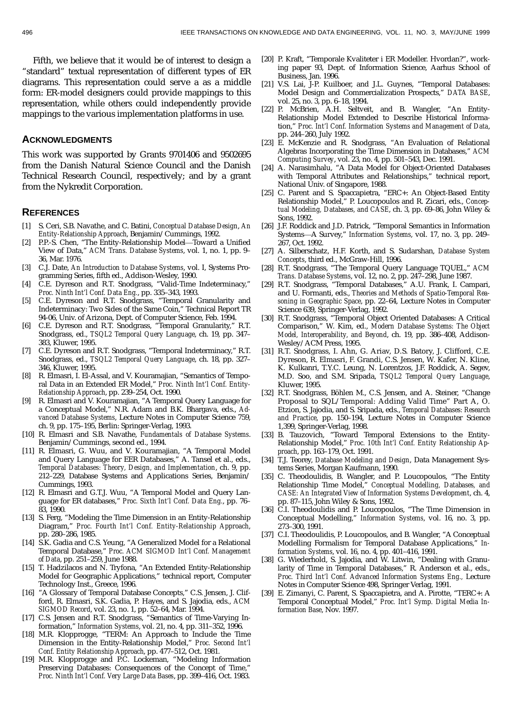Fifth, we believe that it would be of interest to design a "standard" textual representation of different types of ER diagrams. This representation could serve a as a middle form: ER-model designers could provide mappings to this representation, while others could independently provide mappings to the various implementation platforms in use.

#### **ACKNOWLEDGMENTS**

This work was supported by Grants 9701406 and 9502695 from the Danish Natural Science Council and the Danish Technical Research Council, respectively; and by a grant from the Nykredit Corporation.

#### **REFERENCES**

- [1] S. Ceri, S.B. Navathe, and C. Batini, *Conceptual Database Design*, *An Entity-Relationship Approach*, Benjamin/Cummings, 1992.
- [2] P.P.-S. Chen, "The Entity-Relationship Model-Toward a Unified View of Data," *ACM Trans. Database Systems*, vol. 1, no. 1, pp. 9– 36, Mar. 1976.
- [3] C.J. Date, *An Introduction to Database Systems*, vol. I, Systems Programming Series, fifth ed., Addison-Wesley, 1990.
- [4] C.E. Dyreson and R.T. Snodgrass, "Valid-Time Indeterminacy," *Proc. Ninth Int'l Conf. Data Eng.*, pp. 335–343, 1993.
- [5] C.E. Dyreson and R.T. Snodgrass, "Temporal Granularity and Indeterminacy: Two Sides of the Same Coin," Technical Report TR 94-06, Univ. of Arizona, Dept. of Computer Science, Feb. 1994.
- [6] C.E. Dyreson and R.T. Snodgrass, "Temporal Granularity," R.T. Snodgrass, ed., *TSQL2 Temporal Query Language*, ch. 19, pp. 347– 383, Kluwer, 1995.
- [7] C.E. Dyreson and R.T. Snodgrass, "Temporal Indeterminacy," R.T. Snodgrass, ed., *TSQL2 Temporal Query Language*, ch. 18, pp. 327– 346, Kluwer, 1995.
- [8] R. Elmasri, I. El-Assal, and V. Kouramajian, "Semantics of Temporal Data in an Extended ER Model," *Proc. Ninth Int'l Conf. Entity-Relationship Approach*, pp. 239–254, Oct. 1990.
- [9] R. Elmasri and V. Kouramajian, "A Temporal Query Language for a Conceptual Model," N.R. Adam and B.K. Bhargava, eds., *Advanced Database Systems*, Lecture Notes in Computer Science 759, ch. 9, pp. 175–195, Berlin: Springer-Verlag, 1993.
- [10] R. Elmasri and S.B. Navathe, *Fundamentals of Database Systems*. Benjamin/Cummings, second ed., 1994.
- [11] R. Elmasri, G. Wuu, and V. Kouramajian, "A Temporal Model and Query Language for EER Databases," A. Tansel et al., eds., *Temporal Databases: Theory, Design, and Implementation*, ch. 9, pp. 212–229, Database Systems and Applications Series, Benjamin/ Cummings, 1993.
- [12] R. Elmasri and G.T.J. Wuu, "A Temporal Model and Query Language for ER databases," *Proc. Sixth Int'l Conf. Data Eng.*, pp. 76– 83, 1990.
- [13] S. Ferg, "Modeling the Time Dimension in an Entity-Relationship Diagram," *Proc. Fourth Int'l Conf. Entity-Relationship Approach*, pp. 280–286, 1985.
- [14] S.K. Gadia and C.S. Yeung, "A Generalized Model for a Relational Temporal Database," *Proc. ACM SIGMOD Int'l Conf. Management of Data*, pp. 251–259, June 1988.
- [15] T. Hadzilacos and N. Tryfona, "An Extended Entity-Relationship Model for Geographic Applications," technical report, Computer Technology Inst., Greece, 1996.
- [16] "A Glossary of Temporal Database Concepts," C.S. Jensen, J. Clifford, R. Elmasri, S.K. Gadia, P. Hayes, and S. Jajodia, eds., *ACM SIGMOD Record*, vol. 23, no. 1, pp. 52–64, Mar. 1994.
- [17] C.S. Jensen and R.T. Snodgrass, "Semantics of Time-Varying Information," *Information Systems*, vol. 21, no. 4, pp. 311–352, 1996.
- [18] M.R. Klopprogge, "TERM: An Approach to Include the Time Dimension in the Entity-Relationship Model," *Proc. Second Int'l Conf. Entity Relationship Approach*, pp. 477–512, Oct. 1981.
- [19] M.R. Klopprogge and P.C. Lockeman, "Modeling Information Preserving Databases: Consequences of the Concept of Time,' *Proc. Ninth Int'l Conf. Very Large Data Bases*, pp. 399–416, Oct. 1983.
- [20] P. Kraft, "Temporale Kvaliteter i ER Modeller. Hvordan?", working paper 93, Dept. of Information Science, Aarhus School of Business, Jan. 1996.
- [21] V.S. Lai, J-P. Kuilboer, and J.L. Guynes, "Temporal Databases: Model Design and Commercialization Prospects," *DATA BASE*, vol. 25, no. 3, pp. 6–18, 1994.
- [22] P. McBrien, A.H. Seltveit, and B. Wangler, "An Entity-Relationship Model Extended to Describe Historical Information," *Proc. Int'l Conf. Information Systems and Management of Data*, pp. 244–260, July 1992.
- [23] E. McKenzie and R. Snodgrass, "An Evaluation of Relational Algebras Incorporating the Time Dimension in Databases," *ACM Computing Survey*, vol. 23, no. 4, pp. 501–543, Dec. 1991.
- [24] A. Narasimhalu, "A Data Model for Object-Oriented Databases with Temporal Attributes and Relationships," technical report, National Univ. of Singapore, 1988.
- [25] C. Parent and S. Spaccapietra, "ERC+: An Object-Based Entity Relationship Model," P. Loucopoulos and R. Zicari, eds., *Conceptual Modeling, Databases, and CASE*, ch. 3, pp. 69–86, John Wiley & Sons, 1992.
- [26] J.F. Roddick and J.D. Patrick, "Temporal Semantics in Information Systems£A Survey," *Information Systems*, vol. 17, no. 3, pp. 249– 267, Oct. 1992.
- [27] A. Silberschatz, H.F. Korth, and S. Sudarshan, *Database System Concepts*, third ed., McGraw-Hill, 1996.
- [28] R.T. Snodgrass, "The Temporal Query Language TQUEL," *ACM Trans. Database Systems*, vol. 12, no. 2, pp. 247–298, June 1987.
- [29] R.T. Snodgrass, "Temporal Databases," A.U. Frank, I. Campari, and U. Formanti, eds., *Theories and Methods of Spatio-Temporal Reasoning in Geographic Space*, pp. 22–64, Lecture Notes in Computer Science 639, Springer-Verlag, 1992.
- [30] R.T. Snodgrass, "Temporal Object Oriented Databases: A Critical Comparison," W. Kim, ed., *Modern Database Systems: The Object Model, Interoperability, and Beyond*, ch. 19, pp. 386–408, Addison-Wesley/ACM Press, 1995.
- [31] R.T. Snodgrass, I. Ahn, G. Ariav, D.S. Batory, J. Clifford, C.E. Dyreson, R. Elmasri, F. Grandi, C.S. Jensen, W. Kafer, N. Kline, K. Kulkanri, T.Y.C. Leung, N. Lorentzos, J.F. Roddick, A. Segev, M.D. Soo, and S.M. Sripada, *TSQL2 Temporal Query Language*, Kluwer, 1995.
- [32] R.T. Snodgrass, Böhlen M., C.S. Jensen, and A. Steiner, "Change Proposal to SQL/Temporal: Adding Valid Time" Part A, O. Etzion, S. Jajodia, and S. Sripada, eds., *Temporal Databases: Research and Practice*, pp. 150–194, Lecture Notes in Computer Science 1,399, Springer-Verlag, 1998.
- [33] B. Tauzovich, "Toward Temporal Extensions to the Entity-Relationship Model," *Proc. 10th Int'l Conf. Entity Relationship Approach*, pp. 163–179, Oct. 1991.
- [34] T.J. Teorey, *Database Modeling and Design*, Data Management Systems Series, Morgan Kaufmann, 1990.
- [35] C. Theodoulidis, B. Wangler, and P. Loucopoulos, "The Entity Relationship Time Model," *Conceptual Modelling, Databases, and CASE: An Integrated View of Information Systems Development*, ch. 4, pp. 87–115, John Wiley & Sons, 1992.
- [36] C.I. Theodoulidis and P. Loucopoulos, "The Time Dimension in Conceptual Modelling," *Information Systems*, vol. 16, no. 3, pp. 273–300, 1991.
- [37] C.I. Theodoulidis, P. Loucopoulos, and B. Wangler, "A Conceptual Modelling Formalism for Temporal Database Applications," *Information Systems*, vol. 16, no. 4, pp. 401–416, 1991.
- [38] G. Wiederhold, S. Jajodia, and W. Litwin, "Dealing with Granularity of Time in Temporal Databases," R. Anderson et al., eds., *Proc. Third Int'l Conf. Advanced Information Systems Eng.,* Lecture Notes in Computer Science 498, Springer Verlag, 1991.
- [39] E. Zimanyi, C. Parent, S. Spaccapietra, and A. Pirotte, "TERC+: A Temporal Conceptual Model," *Proc. Int'l Symp. Digital Media Information Base*, Nov. 1997.